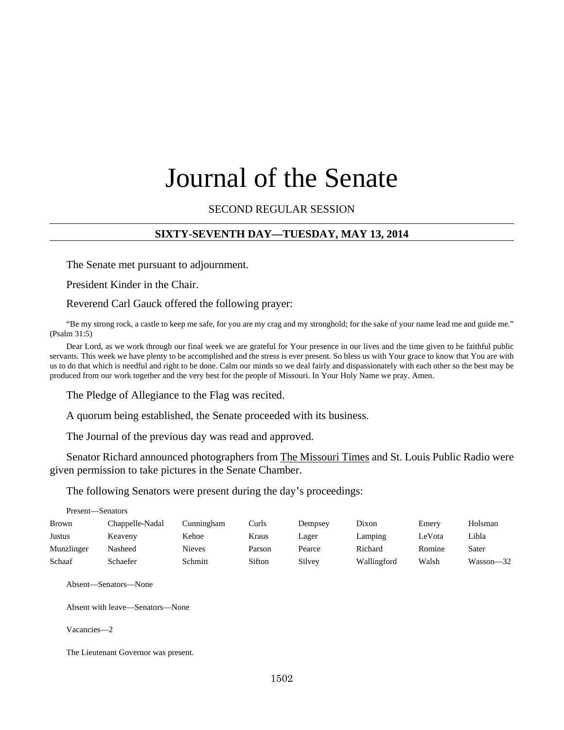# Journal of the Senate

SECOND REGULAR SESSION

## **SIXTY-SEVENTH DAY—TUESDAY, MAY 13, 2014**

The Senate met pursuant to adjournment.

President Kinder in the Chair.

Reverend Carl Gauck offered the following prayer:

"Be my strong rock, a castle to keep me safe, for you are my crag and my stronghold; for the sake of your name lead me and guide me." (Psalm 31:5)

Dear Lord, as we work through our final week we are grateful for Your presence in our lives and the time given to be faithful public servants. This week we have plenty to be accomplished and the stress is ever present. So bless us with Your grace to know that You are with us to do that which is needful and right to be done. Calm our minds so we deal fairly and dispassionately with each other so the best may be produced from our work together and the very best for the people of Missouri. In Your Holy Name we pray. Amen.

The Pledge of Allegiance to the Flag was recited.

A quorum being established, the Senate proceeded with its business.

The Journal of the previous day was read and approved.

Senator Richard announced photographers from The Missouri Times and St. Louis Public Radio were given permission to take pictures in the Senate Chamber.

The following Senators were present during the day's proceedings:

|               | Present—Senators |               |        |         |             |        |               |  |  |  |  |
|---------------|------------------|---------------|--------|---------|-------------|--------|---------------|--|--|--|--|
| <b>Brown</b>  | Chappelle-Nadal  | Cunningham    | Curls  | Dempsey | Dixon       | Emery  | Holsman       |  |  |  |  |
| <b>Justus</b> | Keaveny          | Kehoe         | Kraus  | Lager   | Lamping     | LeVota | Libla         |  |  |  |  |
| Munzlinger    | Nasheed          | <b>Nieves</b> | Parson | Pearce  | Richard     | Romine | Sater         |  |  |  |  |
| Schaaf        | Schaefer         | Schmitt       | Sifton | Silvey  | Wallingford | Walsh  | $Wasson - 32$ |  |  |  |  |

Absent—Senators—None

Absent with leave—Senators—None

Vacancies—2

The Lieutenant Governor was present.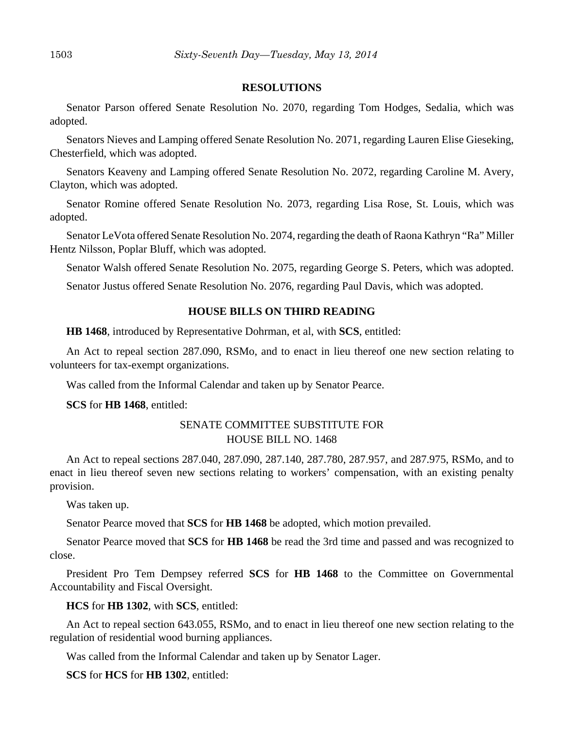#### **RESOLUTIONS**

Senator Parson offered Senate Resolution No. 2070, regarding Tom Hodges, Sedalia, which was adopted.

Senators Nieves and Lamping offered Senate Resolution No. 2071, regarding Lauren Elise Gieseking, Chesterfield, which was adopted.

Senators Keaveny and Lamping offered Senate Resolution No. 2072, regarding Caroline M. Avery, Clayton, which was adopted.

Senator Romine offered Senate Resolution No. 2073, regarding Lisa Rose, St. Louis, which was adopted.

Senator LeVota offered Senate Resolution No. 2074, regarding the death of Raona Kathryn "Ra" Miller Hentz Nilsson, Poplar Bluff, which was adopted.

Senator Walsh offered Senate Resolution No. 2075, regarding George S. Peters, which was adopted.

Senator Justus offered Senate Resolution No. 2076, regarding Paul Davis, which was adopted.

#### **HOUSE BILLS ON THIRD READING**

**HB 1468**, introduced by Representative Dohrman, et al, with **SCS**, entitled:

An Act to repeal section 287.090, RSMo, and to enact in lieu thereof one new section relating to volunteers for tax-exempt organizations.

Was called from the Informal Calendar and taken up by Senator Pearce.

**SCS** for **HB 1468**, entitled:

## SENATE COMMITTEE SUBSTITUTE FOR HOUSE BILL NO. 1468

An Act to repeal sections 287.040, 287.090, 287.140, 287.780, 287.957, and 287.975, RSMo, and to enact in lieu thereof seven new sections relating to workers' compensation, with an existing penalty provision.

Was taken up.

Senator Pearce moved that **SCS** for **HB 1468** be adopted, which motion prevailed.

Senator Pearce moved that **SCS** for **HB 1468** be read the 3rd time and passed and was recognized to close.

President Pro Tem Dempsey referred **SCS** for **HB 1468** to the Committee on Governmental Accountability and Fiscal Oversight.

**HCS** for **HB 1302**, with **SCS**, entitled:

An Act to repeal section 643.055, RSMo, and to enact in lieu thereof one new section relating to the regulation of residential wood burning appliances.

Was called from the Informal Calendar and taken up by Senator Lager.

**SCS** for **HCS** for **HB 1302**, entitled: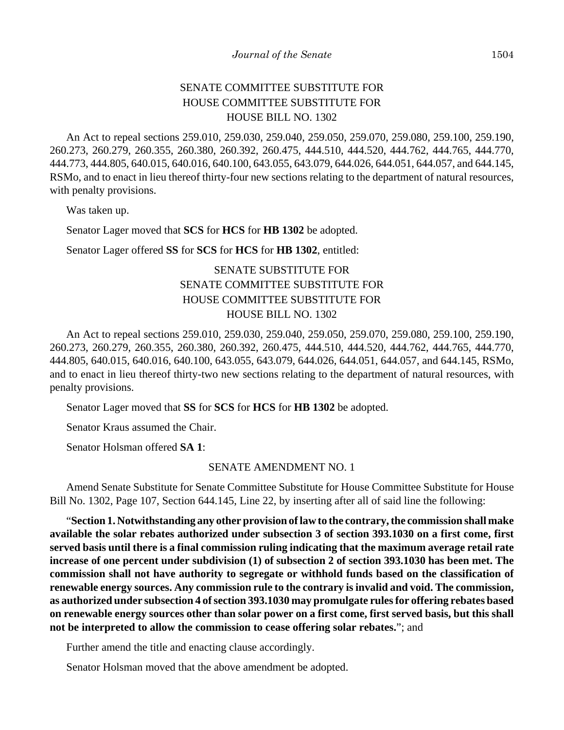# SENATE COMMITTEE SUBSTITUTE FOR HOUSE COMMITTEE SUBSTITUTE FOR HOUSE BILL NO. 1302

An Act to repeal sections 259.010, 259.030, 259.040, 259.050, 259.070, 259.080, 259.100, 259.190, 260.273, 260.279, 260.355, 260.380, 260.392, 260.475, 444.510, 444.520, 444.762, 444.765, 444.770, 444.773, 444.805, 640.015, 640.016, 640.100, 643.055, 643.079, 644.026, 644.051, 644.057, and 644.145, RSMo, and to enact in lieu thereof thirty-four new sections relating to the department of natural resources, with penalty provisions.

Was taken up.

Senator Lager moved that **SCS** for **HCS** for **HB 1302** be adopted.

Senator Lager offered **SS** for **SCS** for **HCS** for **HB 1302**, entitled:

# SENATE SUBSTITUTE FOR SENATE COMMITTEE SUBSTITUTE FOR HOUSE COMMITTEE SUBSTITUTE FOR HOUSE BILL NO. 1302

An Act to repeal sections 259.010, 259.030, 259.040, 259.050, 259.070, 259.080, 259.100, 259.190, 260.273, 260.279, 260.355, 260.380, 260.392, 260.475, 444.510, 444.520, 444.762, 444.765, 444.770, 444.805, 640.015, 640.016, 640.100, 643.055, 643.079, 644.026, 644.051, 644.057, and 644.145, RSMo, and to enact in lieu thereof thirty-two new sections relating to the department of natural resources, with penalty provisions.

Senator Lager moved that **SS** for **SCS** for **HCS** for **HB 1302** be adopted.

Senator Kraus assumed the Chair.

Senator Holsman offered **SA 1**:

## SENATE AMENDMENT NO. 1

Amend Senate Substitute for Senate Committee Substitute for House Committee Substitute for House Bill No. 1302, Page 107, Section 644.145, Line 22, by inserting after all of said line the following:

"**Section 1. Notwithstanding any other provision of law to the contrary, the commission shall make available the solar rebates authorized under subsection 3 of section 393.1030 on a first come, first served basis until there is a final commission ruling indicating that the maximum average retail rate increase of one percent under subdivision (1) of subsection 2 of section 393.1030 has been met. The commission shall not have authority to segregate or withhold funds based on the classification of renewable energy sources. Any commission rule to the contrary is invalid and void. The commission, as authorized under subsection 4 of section 393.1030 may promulgate rules for offering rebates based on renewable energy sources other than solar power on a first come, first served basis, but this shall not be interpreted to allow the commission to cease offering solar rebates.**"; and

Further amend the title and enacting clause accordingly.

Senator Holsman moved that the above amendment be adopted.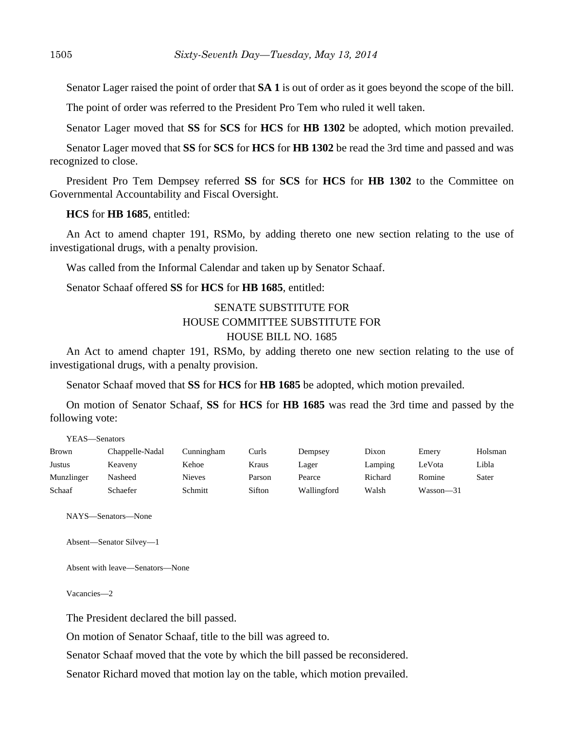Senator Lager raised the point of order that **SA 1** is out of order as it goes beyond the scope of the bill.

The point of order was referred to the President Pro Tem who ruled it well taken.

Senator Lager moved that **SS** for **SCS** for **HCS** for **HB 1302** be adopted, which motion prevailed.

Senator Lager moved that **SS** for **SCS** for **HCS** for **HB 1302** be read the 3rd time and passed and was recognized to close.

President Pro Tem Dempsey referred **SS** for **SCS** for **HCS** for **HB 1302** to the Committee on Governmental Accountability and Fiscal Oversight.

**HCS** for **HB 1685**, entitled:

An Act to amend chapter 191, RSMo, by adding thereto one new section relating to the use of investigational drugs, with a penalty provision.

Was called from the Informal Calendar and taken up by Senator Schaaf.

Senator Schaaf offered **SS** for **HCS** for **HB 1685**, entitled:

# SENATE SUBSTITUTE FOR HOUSE COMMITTEE SUBSTITUTE FOR HOUSE BILL NO. 1685

An Act to amend chapter 191, RSMo, by adding thereto one new section relating to the use of investigational drugs, with a penalty provision.

Senator Schaaf moved that **SS** for **HCS** for **HB 1685** be adopted, which motion prevailed.

On motion of Senator Schaaf, **SS** for **HCS** for **HB 1685** was read the 3rd time and passed by the following vote:

YEAS—Senators

| <b>Brown</b> | Chappelle-Nadal | Cunningham    | Curls  | Dempsey     | Dixon   | Emery     | Holsman |
|--------------|-----------------|---------------|--------|-------------|---------|-----------|---------|
| Justus       | Keaveny         | Kehoe         | Kraus  | Lager       | Lamping | LeVota    | Libla   |
| Munzlinger   | Nasheed         | <b>Nieves</b> | Parson | Pearce      | Richard | Romine    | Sater   |
| Schaaf       | Schaefer        | Schmitt       | Sifton | Wallingford | Walsh   | Wasson-31 |         |

NAYS—Senators—None

```
Absent—Senator Silvey—1
```
Absent with leave—Senators—None

Vacancies—2

The President declared the bill passed.

On motion of Senator Schaaf, title to the bill was agreed to.

Senator Schaaf moved that the vote by which the bill passed be reconsidered.

Senator Richard moved that motion lay on the table, which motion prevailed.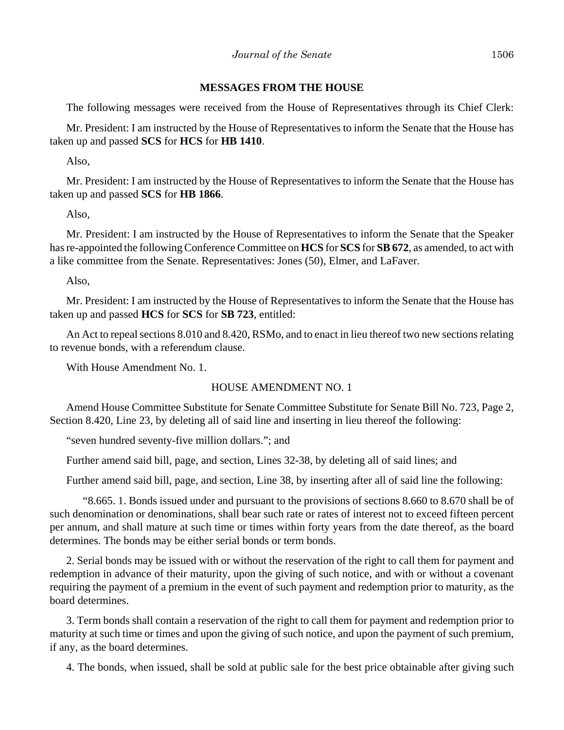## **MESSAGES FROM THE HOUSE**

The following messages were received from the House of Representatives through its Chief Clerk:

Mr. President: I am instructed by the House of Representatives to inform the Senate that the House has taken up and passed **SCS** for **HCS** for **HB 1410**.

Also,

Mr. President: I am instructed by the House of Representatives to inform the Senate that the House has taken up and passed **SCS** for **HB 1866**.

Also,

Mr. President: I am instructed by the House of Representatives to inform the Senate that the Speaker has re-appointed the following Conference Committee on **HCS** for **SCS** for **SB 672**, as amended, to act with a like committee from the Senate. Representatives: Jones (50), Elmer, and LaFaver.

Also,

Mr. President: I am instructed by the House of Representatives to inform the Senate that the House has taken up and passed **HCS** for **SCS** for **SB 723**, entitled:

An Act to repeal sections 8.010 and 8.420, RSMo, and to enact in lieu thereof two new sections relating to revenue bonds, with a referendum clause.

With House Amendment No. 1.

## HOUSE AMENDMENT NO. 1

Amend House Committee Substitute for Senate Committee Substitute for Senate Bill No. 723, Page 2, Section 8.420, Line 23, by deleting all of said line and inserting in lieu thereof the following:

"seven hundred seventy-five million dollars."; and

Further amend said bill, page, and section, Lines 32-38, by deleting all of said lines; and

Further amend said bill, page, and section, Line 38, by inserting after all of said line the following:

"8.665. 1. Bonds issued under and pursuant to the provisions of sections 8.660 to 8.670 shall be of such denomination or denominations, shall bear such rate or rates of interest not to exceed fifteen percent per annum, and shall mature at such time or times within forty years from the date thereof, as the board determines. The bonds may be either serial bonds or term bonds.

2. Serial bonds may be issued with or without the reservation of the right to call them for payment and redemption in advance of their maturity, upon the giving of such notice, and with or without a covenant requiring the payment of a premium in the event of such payment and redemption prior to maturity, as the board determines.

3. Term bonds shall contain a reservation of the right to call them for payment and redemption prior to maturity at such time or times and upon the giving of such notice, and upon the payment of such premium, if any, as the board determines.

4. The bonds, when issued, shall be sold at public sale for the best price obtainable after giving such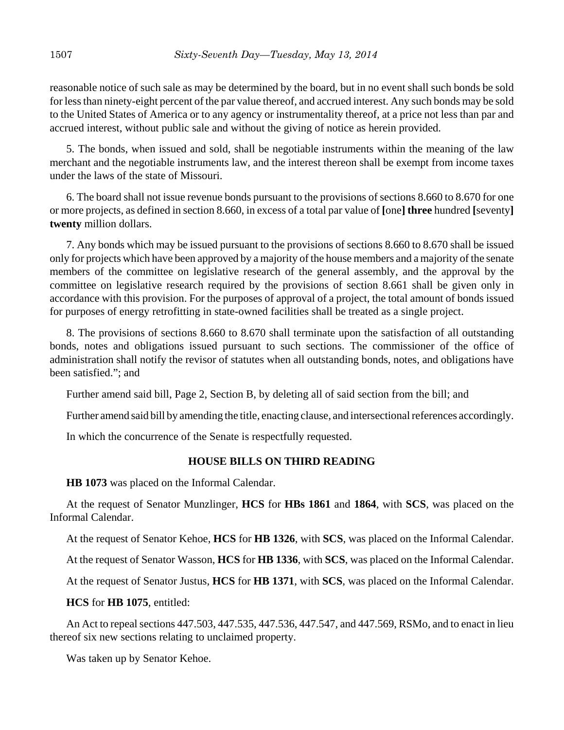reasonable notice of such sale as may be determined by the board, but in no event shall such bonds be sold for less than ninety-eight percent of the par value thereof, and accrued interest. Any such bonds may be sold to the United States of America or to any agency or instrumentality thereof, at a price not less than par and accrued interest, without public sale and without the giving of notice as herein provided.

5. The bonds, when issued and sold, shall be negotiable instruments within the meaning of the law merchant and the negotiable instruments law, and the interest thereon shall be exempt from income taxes under the laws of the state of Missouri.

6. The board shall not issue revenue bonds pursuant to the provisions of sections 8.660 to 8.670 for one or more projects, as defined in section 8.660, in excess of a total par value of **[**one**] three** hundred **[**seventy**] twenty** million dollars.

7. Any bonds which may be issued pursuant to the provisions of sections 8.660 to 8.670 shall be issued only for projects which have been approved by a majority of the house members and a majority of the senate members of the committee on legislative research of the general assembly, and the approval by the committee on legislative research required by the provisions of section 8.661 shall be given only in accordance with this provision. For the purposes of approval of a project, the total amount of bonds issued for purposes of energy retrofitting in state-owned facilities shall be treated as a single project.

8. The provisions of sections 8.660 to 8.670 shall terminate upon the satisfaction of all outstanding bonds, notes and obligations issued pursuant to such sections. The commissioner of the office of administration shall notify the revisor of statutes when all outstanding bonds, notes, and obligations have been satisfied."; and

Further amend said bill, Page 2, Section B, by deleting all of said section from the bill; and

Further amend said bill by amending the title, enacting clause, and intersectional references accordingly.

In which the concurrence of the Senate is respectfully requested.

## **HOUSE BILLS ON THIRD READING**

**HB 1073** was placed on the Informal Calendar.

At the request of Senator Munzlinger, **HCS** for **HBs 1861** and **1864**, with **SCS**, was placed on the Informal Calendar.

At the request of Senator Kehoe, **HCS** for **HB 1326**, with **SCS**, was placed on the Informal Calendar.

At the request of Senator Wasson, **HCS** for **HB 1336**, with **SCS**, was placed on the Informal Calendar.

At the request of Senator Justus, **HCS** for **HB 1371**, with **SCS**, was placed on the Informal Calendar.

**HCS** for **HB 1075**, entitled:

An Act to repeal sections 447.503, 447.535, 447.536, 447.547, and 447.569, RSMo, and to enact in lieu thereof six new sections relating to unclaimed property.

Was taken up by Senator Kehoe.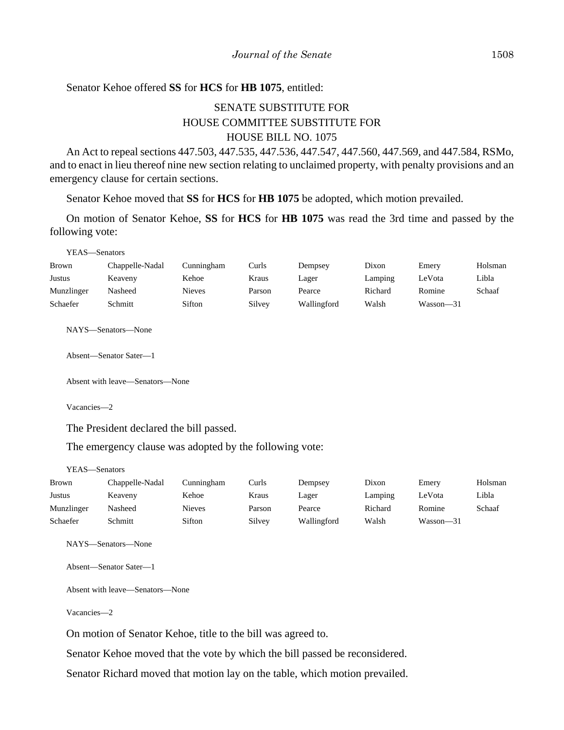## Senator Kehoe offered **SS** for **HCS** for **HB 1075**, entitled:

# SENATE SUBSTITUTE FOR HOUSE COMMITTEE SUBSTITUTE FOR HOUSE BILL NO. 1075

An Act to repeal sections 447.503, 447.535, 447.536, 447.547, 447.560, 447.569, and 447.584, RSMo, and to enact in lieu thereof nine new section relating to unclaimed property, with penalty provisions and an emergency clause for certain sections.

Senator Kehoe moved that **SS** for **HCS** for **HB 1075** be adopted, which motion prevailed.

On motion of Senator Kehoe, **SS** for **HCS** for **HB 1075** was read the 3rd time and passed by the following vote:

YEAS—Senators

| <b>Brown</b> | Chappelle-Nadal | Cunningham    | Curls  | Dempsey     | Dixon   | Emery     | Holsman |
|--------------|-----------------|---------------|--------|-------------|---------|-----------|---------|
| Justus       | Keaveny         | Kehoe         | Kraus  | Lager       | Lamping | LeVota    | Libla   |
| Munzlinger   | Nasheed         | <b>Nieves</b> | Parson | Pearce      | Richard | Romine    | Schaaf  |
| Schaefer     | Schmitt         | Sifton        | Silvey | Wallingford | Walsh   | Wasson—31 |         |

NAYS—Senators—None

Absent—Senator Sater—1

Absent with leave—Senators—None

Vacancies—2

The President declared the bill passed.

The emergency clause was adopted by the following vote:

YEAS—Senators

| Brown      | Chappelle-Nadal | Cunningham    | Curls  | Dempsey     | Dixon   | Emery     | Holsman |
|------------|-----------------|---------------|--------|-------------|---------|-----------|---------|
| Justus     | Keaveny         | Kehoe         | Kraus  | Lager       | Lamping | LeVota    | Libla   |
| Munzlinger | Nasheed         | <b>Nieves</b> | Parson | Pearce      | Richard | Romine    | Schaaf  |
| Schaefer   | Schmitt         | Sifton        | Silvey | Wallingford | Walsh   | Wasson—31 |         |

NAYS—Senators—None

Absent—Senator Sater—1

Absent with leave—Senators—None

Vacancies—2

On motion of Senator Kehoe, title to the bill was agreed to.

Senator Kehoe moved that the vote by which the bill passed be reconsidered.

Senator Richard moved that motion lay on the table, which motion prevailed.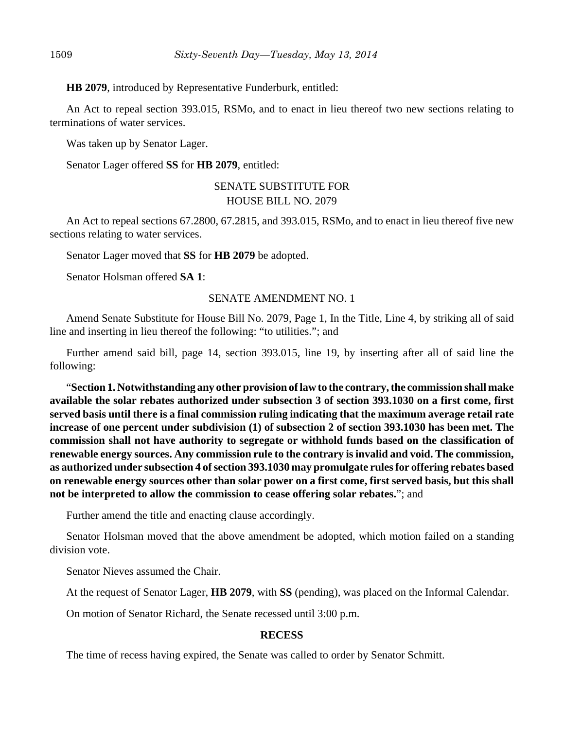**HB 2079**, introduced by Representative Funderburk, entitled:

An Act to repeal section 393.015, RSMo, and to enact in lieu thereof two new sections relating to terminations of water services.

Was taken up by Senator Lager.

Senator Lager offered **SS** for **HB 2079**, entitled:

## SENATE SUBSTITUTE FOR HOUSE BILL NO. 2079

An Act to repeal sections 67.2800, 67.2815, and 393.015, RSMo, and to enact in lieu thereof five new sections relating to water services.

Senator Lager moved that **SS** for **HB 2079** be adopted.

Senator Holsman offered **SA 1**:

#### SENATE AMENDMENT NO. 1

Amend Senate Substitute for House Bill No. 2079, Page 1, In the Title, Line 4, by striking all of said line and inserting in lieu thereof the following: "to utilities."; and

Further amend said bill, page 14, section 393.015, line 19, by inserting after all of said line the following:

"**Section 1. Notwithstanding any other provision of law to the contrary, the commission shall make available the solar rebates authorized under subsection 3 of section 393.1030 on a first come, first served basis until there is a final commission ruling indicating that the maximum average retail rate increase of one percent under subdivision (1) of subsection 2 of section 393.1030 has been met. The commission shall not have authority to segregate or withhold funds based on the classification of renewable energy sources. Any commission rule to the contrary is invalid and void. The commission, as authorized under subsection 4 of section 393.1030 may promulgate rules for offering rebates based on renewable energy sources other than solar power on a first come, first served basis, but this shall not be interpreted to allow the commission to cease offering solar rebates.**"; and

Further amend the title and enacting clause accordingly.

Senator Holsman moved that the above amendment be adopted, which motion failed on a standing division vote.

Senator Nieves assumed the Chair.

At the request of Senator Lager, **HB 2079**, with **SS** (pending), was placed on the Informal Calendar.

On motion of Senator Richard, the Senate recessed until 3:00 p.m.

#### **RECESS**

The time of recess having expired, the Senate was called to order by Senator Schmitt.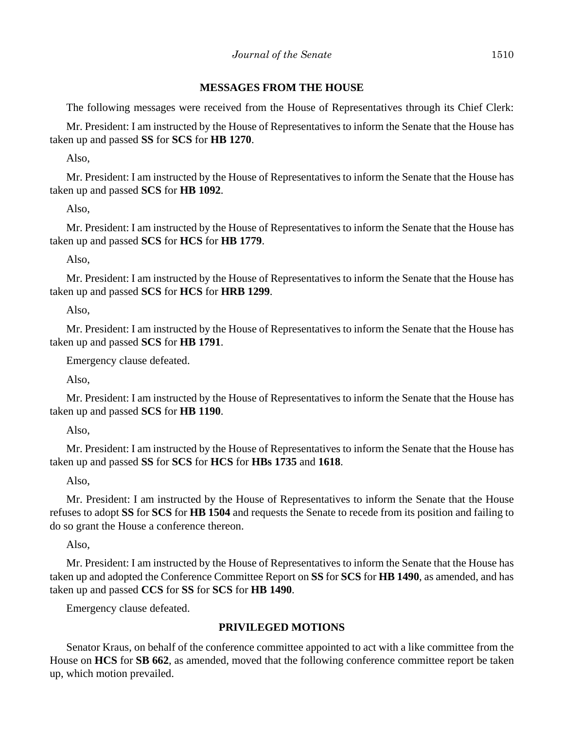## **MESSAGES FROM THE HOUSE**

The following messages were received from the House of Representatives through its Chief Clerk:

Mr. President: I am instructed by the House of Representatives to inform the Senate that the House has taken up and passed **SS** for **SCS** for **HB 1270**.

Also,

Mr. President: I am instructed by the House of Representatives to inform the Senate that the House has taken up and passed **SCS** for **HB 1092**.

Also,

Mr. President: I am instructed by the House of Representatives to inform the Senate that the House has taken up and passed **SCS** for **HCS** for **HB 1779**.

Also,

Mr. President: I am instructed by the House of Representatives to inform the Senate that the House has taken up and passed **SCS** for **HCS** for **HRB 1299**.

Also,

Mr. President: I am instructed by the House of Representatives to inform the Senate that the House has taken up and passed **SCS** for **HB 1791**.

Emergency clause defeated.

Also,

Mr. President: I am instructed by the House of Representatives to inform the Senate that the House has taken up and passed **SCS** for **HB 1190**.

Also,

Mr. President: I am instructed by the House of Representatives to inform the Senate that the House has taken up and passed **SS** for **SCS** for **HCS** for **HBs 1735** and **1618**.

Also,

Mr. President: I am instructed by the House of Representatives to inform the Senate that the House refuses to adopt **SS** for **SCS** for **HB 1504** and requests the Senate to recede from its position and failing to do so grant the House a conference thereon.

Also,

Mr. President: I am instructed by the House of Representatives to inform the Senate that the House has taken up and adopted the Conference Committee Report on **SS** for **SCS** for **HB 1490**, as amended, and has taken up and passed **CCS** for **SS** for **SCS** for **HB 1490**.

Emergency clause defeated.

## **PRIVILEGED MOTIONS**

Senator Kraus, on behalf of the conference committee appointed to act with a like committee from the House on **HCS** for **SB 662**, as amended, moved that the following conference committee report be taken up, which motion prevailed.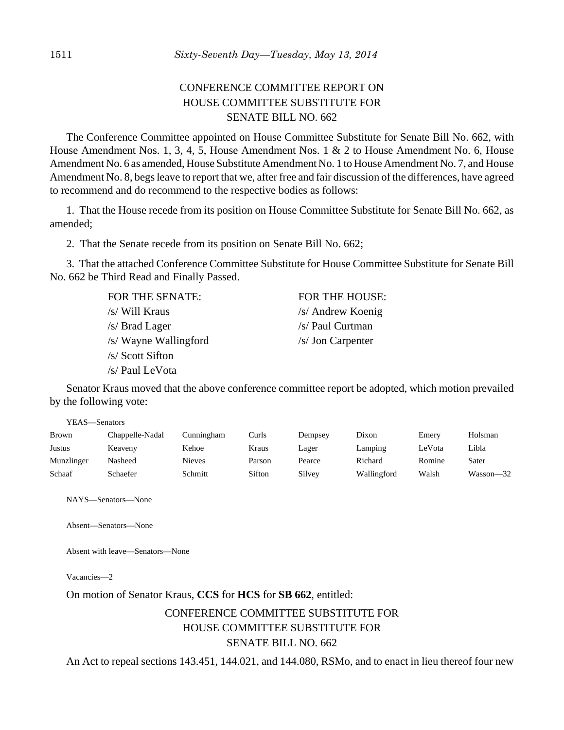# CONFERENCE COMMITTEE REPORT ON HOUSE COMMITTEE SUBSTITUTE FOR SENATE BILL NO. 662

The Conference Committee appointed on House Committee Substitute for Senate Bill No. 662, with House Amendment Nos. 1, 3, 4, 5, House Amendment Nos. 1 & 2 to House Amendment No. 6, House Amendment No. 6 as amended, House Substitute Amendment No. 1 to House Amendment No. 7, and House Amendment No. 8, begs leave to report that we, after free and fair discussion of the differences, have agreed to recommend and do recommend to the respective bodies as follows:

1. That the House recede from its position on House Committee Substitute for Senate Bill No. 662, as amended;

2. That the Senate recede from its position on Senate Bill No. 662;

3. That the attached Conference Committee Substitute for House Committee Substitute for Senate Bill No. 662 be Third Read and Finally Passed.

> FOR THE SENATE: FOR THE HOUSE: /s/ Will Kraus /s/ Andrew Koenig /s/ Brad Lager /s/ Paul Curtman /s/ Wayne Wallingford /s/ Jon Carpenter /s/ Scott Sifton /s/ Paul LeVota

Senator Kraus moved that the above conference committee report be adopted, which motion prevailed by the following vote:

|               | YEAS—Senators   |               |        |         |             |        |           |  |  |  |
|---------------|-----------------|---------------|--------|---------|-------------|--------|-----------|--|--|--|
| <b>Brown</b>  | Chappelle-Nadal | Cunningham    | Curls  | Dempsey | Dixon       | Emery  | Holsman   |  |  |  |
| <b>Justus</b> | Keaveny         | Kehoe         | Kraus  | Lager   | Lamping     | LeVota | Libla     |  |  |  |
| Munzlinger    | Nasheed         | <b>Nieves</b> | Parson | Pearce  | Richard     | Romine | Sater     |  |  |  |
| Schaaf        | Schaefer        | Schmitt       | Sifton | Silvey  | Wallingford | Walsh  | Wasson—32 |  |  |  |

NAYS—Senators—None

Absent—Senators—None

Absent with leave—Senators—None

Vacancies—2

#### On motion of Senator Kraus, **CCS** for **HCS** for **SB 662**, entitled:

# CONFERENCE COMMITTEE SUBSTITUTE FOR HOUSE COMMITTEE SUBSTITUTE FOR SENATE BILL NO. 662

An Act to repeal sections 143.451, 144.021, and 144.080, RSMo, and to enact in lieu thereof four new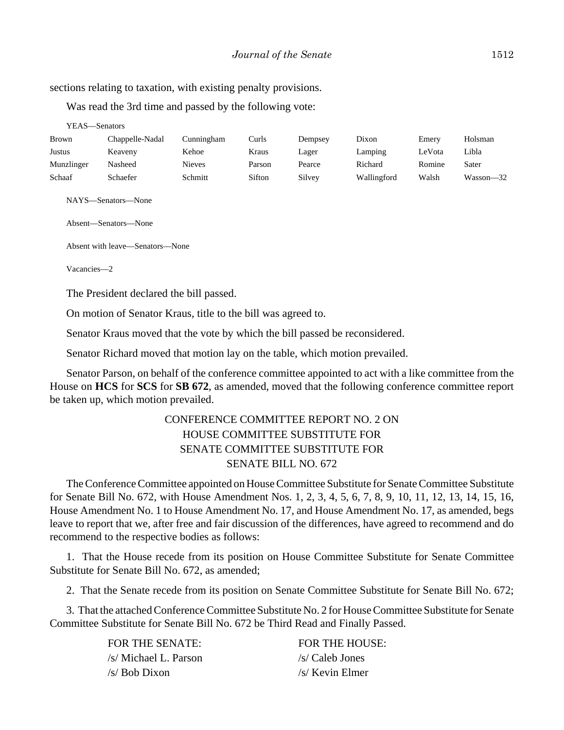sections relating to taxation, with existing penalty provisions.

Was read the 3rd time and passed by the following vote:

| YEAS—Senators |                 |               |        |         |             |        |           |
|---------------|-----------------|---------------|--------|---------|-------------|--------|-----------|
| Brown         | Chappelle-Nadal | Cunningham    | Curls  | Dempsey | Dixon       | Emerv  | Holsman   |
| Justus        | Keaveny         | Kehoe         | Kraus  | Lager   | Lamping     | LeVota | Libla     |
| Munzlinger    | Nasheed         | <b>Nieves</b> | Parson | Pearce  | Richard     | Romine | Sater     |
| Schaaf        | Schaefer        | Schmitt       | Sifton | Silvey  | Wallingford | Walsh  | Wasson—32 |
|               |                 |               |        |         |             |        |           |

NAYS—Senators—None

Absent—Senators—None

Absent with leave—Senators—None

Vacancies—2

The President declared the bill passed.

On motion of Senator Kraus, title to the bill was agreed to.

Senator Kraus moved that the vote by which the bill passed be reconsidered.

Senator Richard moved that motion lay on the table, which motion prevailed.

Senator Parson, on behalf of the conference committee appointed to act with a like committee from the House on **HCS** for **SCS** for **SB 672**, as amended, moved that the following conference committee report be taken up, which motion prevailed.

# CONFERENCE COMMITTEE REPORT NO. 2 ON HOUSE COMMITTEE SUBSTITUTE FOR SENATE COMMITTEE SUBSTITUTE FOR SENATE BILL NO. 672

The Conference Committee appointed on House Committee Substitute for Senate Committee Substitute for Senate Bill No. 672, with House Amendment Nos. 1, 2, 3, 4, 5, 6, 7, 8, 9, 10, 11, 12, 13, 14, 15, 16, House Amendment No. 1 to House Amendment No. 17, and House Amendment No. 17, as amended, begs leave to report that we, after free and fair discussion of the differences, have agreed to recommend and do recommend to the respective bodies as follows:

1. That the House recede from its position on House Committee Substitute for Senate Committee Substitute for Senate Bill No. 672, as amended;

2. That the Senate recede from its position on Senate Committee Substitute for Senate Bill No. 672;

3. That the attached Conference Committee Substitute No. 2 for House Committee Substitute for Senate Committee Substitute for Senate Bill No. 672 be Third Read and Finally Passed.

> FOR THE SENATE: FOR THE HOUSE: /s/ Michael L. Parson /s/ Caleb Jones  $\sqrt{s}$  Bob Dixon  $\sqrt{s}$  Kevin Elmer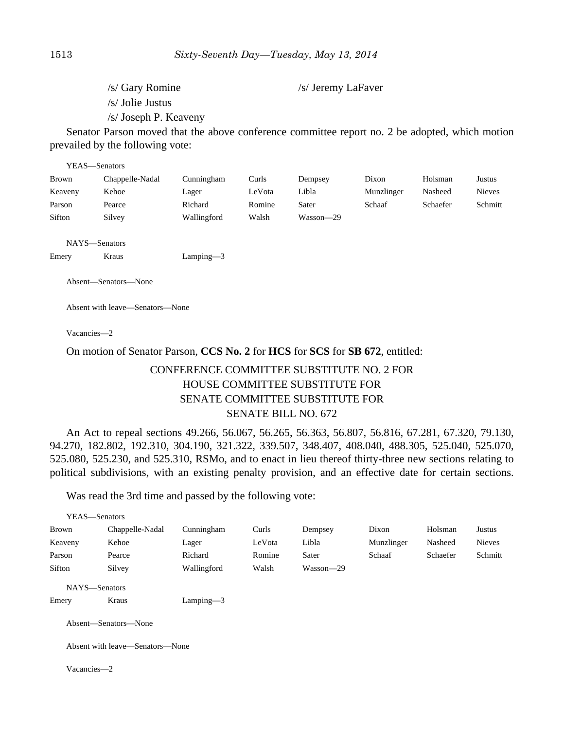/s/ Gary Romine /s/ Jeremy LaFaver

/s/ Jolie Justus

/s/ Joseph P. Keaveny

Senator Parson moved that the above conference committee report no. 2 be adopted, which motion prevailed by the following vote:

| YEAS—Senators |                 |             |        |           |            |          |               |
|---------------|-----------------|-------------|--------|-----------|------------|----------|---------------|
| Brown         | Chappelle-Nadal | Cunningham  | Curls  | Dempsey   | Dixon      | Holsman  | Justus        |
| Keaveny       | Kehoe           | Lager       | LeVota | Libla     | Munzlinger | Nasheed  | <b>Nieves</b> |
| Parson        | Pearce          | Richard     | Romine | Sater     | Schaaf     | Schaefer | Schmitt       |
| Sifton        | Silvey          | Wallingford | Walsh  | Wasson-29 |            |          |               |
|               |                 |             |        |           |            |          |               |
| NAYS—Senators |                 |             |        |           |            |          |               |

Emery Kraus Lamping—3

Absent—Senators—None

Absent with leave—Senators—None

Vacancies—2

#### On motion of Senator Parson, **CCS No. 2** for **HCS** for **SCS** for **SB 672**, entitled:

# CONFERENCE COMMITTEE SUBSTITUTE NO. 2 FOR HOUSE COMMITTEE SUBSTITUTE FOR SENATE COMMITTEE SUBSTITUTE FOR SENATE BILL NO. 672

An Act to repeal sections 49.266, 56.067, 56.265, 56.363, 56.807, 56.816, 67.281, 67.320, 79.130, 94.270, 182.802, 192.310, 304.190, 321.322, 339.507, 348.407, 408.040, 488.305, 525.040, 525.070, 525.080, 525.230, and 525.310, RSMo, and to enact in lieu thereof thirty-three new sections relating to political subdivisions, with an existing penalty provision, and an effective date for certain sections.

Was read the 3rd time and passed by the following vote:

| YEAS—Senators |                                 |             |        |           |            |          |               |
|---------------|---------------------------------|-------------|--------|-----------|------------|----------|---------------|
| Brown         | Chappelle-Nadal                 | Cunningham  | Curls  | Dempsey   | Dixon      | Holsman  | <b>Justus</b> |
| Keaveny       | Kehoe                           | Lager       | LeVota | Libla     | Munzlinger | Nasheed  | <b>Nieves</b> |
| Parson        | Pearce                          | Richard     | Romine | Sater     | Schaaf     | Schaefer | Schmitt       |
| Sifton        | Silvey                          | Wallingford | Walsh  | Wasson-29 |            |          |               |
| NAYS-Senators |                                 |             |        |           |            |          |               |
| Emery         | Kraus                           | $Lamping-3$ |        |           |            |          |               |
|               | Absent-Senators-None            |             |        |           |            |          |               |
|               | Absent with leave—Senators—None |             |        |           |            |          |               |
| Vacancies-2   |                                 |             |        |           |            |          |               |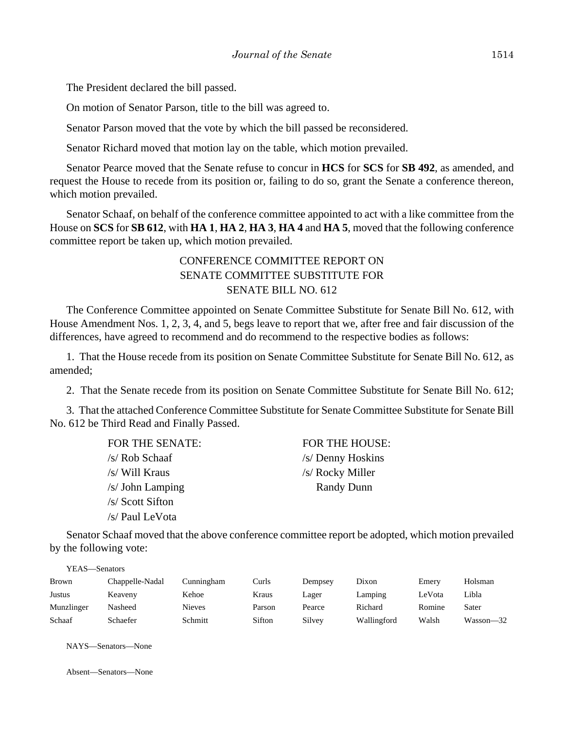The President declared the bill passed.

On motion of Senator Parson, title to the bill was agreed to.

Senator Parson moved that the vote by which the bill passed be reconsidered.

Senator Richard moved that motion lay on the table, which motion prevailed.

Senator Pearce moved that the Senate refuse to concur in **HCS** for **SCS** for **SB 492**, as amended, and request the House to recede from its position or, failing to do so, grant the Senate a conference thereon, which motion prevailed.

Senator Schaaf, on behalf of the conference committee appointed to act with a like committee from the House on **SCS** for **SB 612**, with **HA 1**, **HA 2**, **HA 3**, **HA 4** and **HA 5**, moved that the following conference committee report be taken up, which motion prevailed.

# CONFERENCE COMMITTEE REPORT ON SENATE COMMITTEE SUBSTITUTE FOR SENATE BILL NO. 612

The Conference Committee appointed on Senate Committee Substitute for Senate Bill No. 612, with House Amendment Nos. 1, 2, 3, 4, and 5, begs leave to report that we, after free and fair discussion of the differences, have agreed to recommend and do recommend to the respective bodies as follows:

1. That the House recede from its position on Senate Committee Substitute for Senate Bill No. 612, as amended;

2. That the Senate recede from its position on Senate Committee Substitute for Senate Bill No. 612;

3. That the attached Conference Committee Substitute for Senate Committee Substitute for Senate Bill No. 612 be Third Read and Finally Passed.

| FOR THE SENATE:  | FOR THE HOUSE:    |
|------------------|-------------------|
| /s/ Rob Schaaf   | /s/ Denny Hoskins |
| /s/ Will Kraus   | /s/ Rocky Miller  |
| /s/ John Lamping | <b>Randy Dunn</b> |
| /s/ Scott Sifton |                   |
| /s/ Paul LeVota  |                   |

Senator Schaaf moved that the above conference committee report be adopted, which motion prevailed by the following vote:

| YEAS—Senators |                 |               |        |         |             |        |           |  |  |  |
|---------------|-----------------|---------------|--------|---------|-------------|--------|-----------|--|--|--|
| <b>Brown</b>  | Chappelle-Nadal | Cunningham    | Curls  | Dempsey | Dixon       | Emery  | Holsman   |  |  |  |
| Justus        | Keaveny         | Kehoe         | Kraus  | Lager   | Lamping     | LeVota | Libla     |  |  |  |
| Munzlinger    | Nasheed         | <b>Nieves</b> | Parson | Pearce  | Richard     | Romine | Sater     |  |  |  |
| Schaaf        | Schaefer        | Schmitt       | Sifton | Silvey  | Wallingford | Walsh  | Wasson—32 |  |  |  |

NAYS—Senators—None

Absent—Senators—None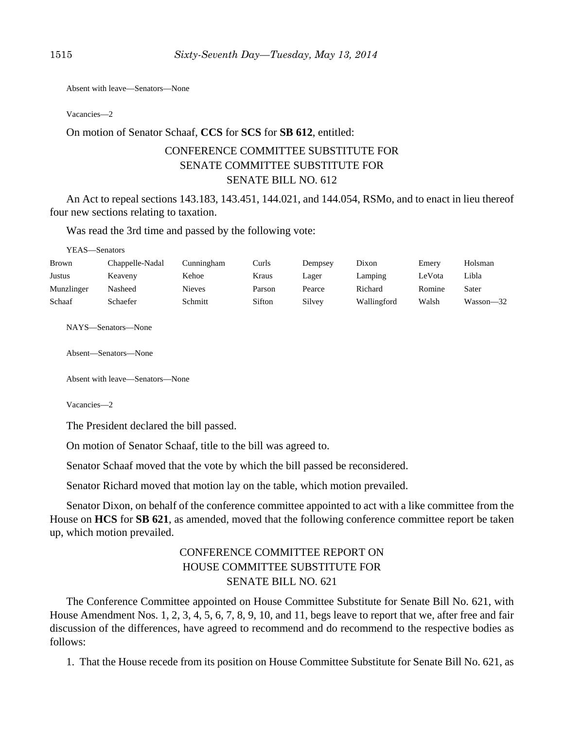Absent with leave—Senators—None

Vacancies—2

#### On motion of Senator Schaaf, **CCS** for **SCS** for **SB 612**, entitled:

# CONFERENCE COMMITTEE SUBSTITUTE FOR SENATE COMMITTEE SUBSTITUTE FOR SENATE BILL NO. 612

An Act to repeal sections 143.183, 143.451, 144.021, and 144.054, RSMo, and to enact in lieu thereof four new sections relating to taxation.

Was read the 3rd time and passed by the following vote:

YEAS—Senators

| <b>Brown</b> | Chappelle-Nadal | Cunningham    | Curls  | Dempsey | Dixon       | Emery  | Holsman       |
|--------------|-----------------|---------------|--------|---------|-------------|--------|---------------|
| Justus       | Keaveny         | Kehoe         | Kraus  | Lager   | Lamping     | LeVota | Libla         |
| Munzlinger   | Nasheed         | <b>Nieves</b> | Parson | Pearce  | Richard     | Romine | Sater         |
| Schaaf       | Schaefer        | Schmitt       | Sifton | Silvey  | Wallingford | Walsh  | $Wasson - 32$ |

NAYS—Senators—None

Absent—Senators—None

Absent with leave—Senators—None

Vacancies—2

The President declared the bill passed.

On motion of Senator Schaaf, title to the bill was agreed to.

Senator Schaaf moved that the vote by which the bill passed be reconsidered.

Senator Richard moved that motion lay on the table, which motion prevailed.

Senator Dixon, on behalf of the conference committee appointed to act with a like committee from the House on **HCS** for **SB 621**, as amended, moved that the following conference committee report be taken up, which motion prevailed.

# CONFERENCE COMMITTEE REPORT ON HOUSE COMMITTEE SUBSTITUTE FOR SENATE BILL NO. 621

The Conference Committee appointed on House Committee Substitute for Senate Bill No. 621, with House Amendment Nos. 1, 2, 3, 4, 5, 6, 7, 8, 9, 10, and 11, begs leave to report that we, after free and fair discussion of the differences, have agreed to recommend and do recommend to the respective bodies as follows:

1. That the House recede from its position on House Committee Substitute for Senate Bill No. 621, as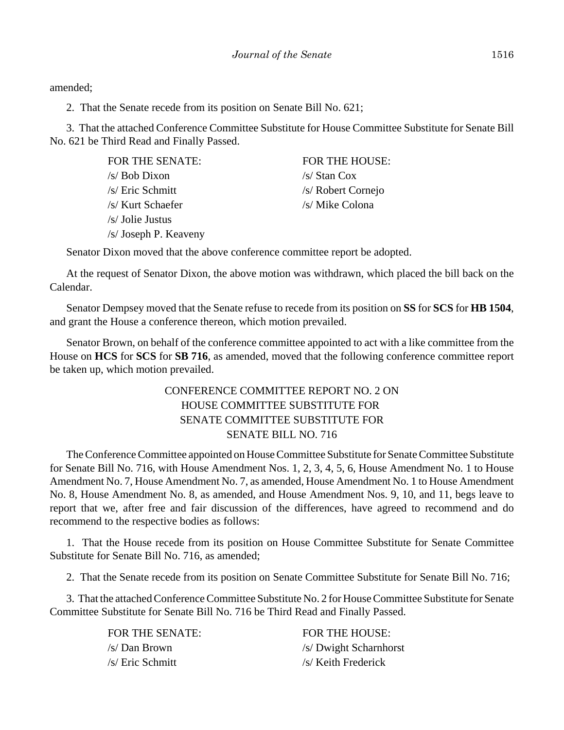amended;

2. That the Senate recede from its position on Senate Bill No. 621;

3. That the attached Conference Committee Substitute for House Committee Substitute for Senate Bill No. 621 be Third Read and Finally Passed.

> FOR THE SENATE: FOR THE HOUSE:  $\sqrt{s}$  Bob Dixon  $\sqrt{s}$  Stan Cox /s/ Eric Schmitt /s/ Robert Cornejo /s/ Kurt Schaefer /s/ Mike Colona /s/ Jolie Justus /s/ Joseph P. Keaveny

Senator Dixon moved that the above conference committee report be adopted.

At the request of Senator Dixon, the above motion was withdrawn, which placed the bill back on the Calendar.

Senator Dempsey moved that the Senate refuse to recede from its position on **SS** for **SCS** for **HB 1504**, and grant the House a conference thereon, which motion prevailed.

Senator Brown, on behalf of the conference committee appointed to act with a like committee from the House on **HCS** for **SCS** for **SB 716**, as amended, moved that the following conference committee report be taken up, which motion prevailed.

# CONFERENCE COMMITTEE REPORT NO. 2 ON HOUSE COMMITTEE SUBSTITUTE FOR SENATE COMMITTEE SUBSTITUTE FOR SENATE BILL NO. 716

The Conference Committee appointed on House Committee Substitute for Senate Committee Substitute for Senate Bill No. 716, with House Amendment Nos. 1, 2, 3, 4, 5, 6, House Amendment No. 1 to House Amendment No. 7, House Amendment No. 7, as amended, House Amendment No. 1 to House Amendment No. 8, House Amendment No. 8, as amended, and House Amendment Nos. 9, 10, and 11, begs leave to report that we, after free and fair discussion of the differences, have agreed to recommend and do recommend to the respective bodies as follows:

1. That the House recede from its position on House Committee Substitute for Senate Committee Substitute for Senate Bill No. 716, as amended;

2. That the Senate recede from its position on Senate Committee Substitute for Senate Bill No. 716;

3. That the attached Conference Committee Substitute No. 2 for House Committee Substitute for Senate Committee Substitute for Senate Bill No. 716 be Third Read and Finally Passed.

/s/ Eric Schmitt /s/ Keith Frederick

FOR THE SENATE: FOR THE HOUSE: /s/ Dan Brown /s/ Dwight Scharnhorst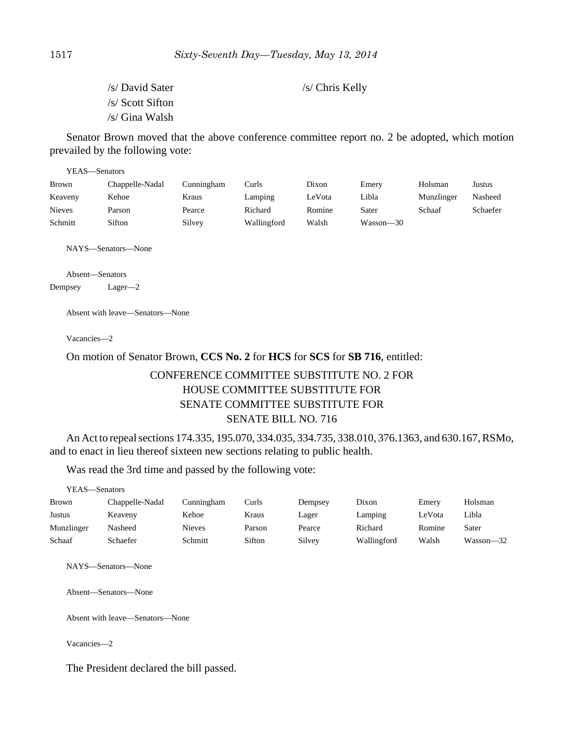/s/ David Sater /s/ Chris Kelly /s/ Scott Sifton /s/ Gina Walsh

Senator Brown moved that the above conference committee report no. 2 be adopted, which motion prevailed by the following vote:

| YEAS—Senators |                 |            |             |        |           |            |          |  |  |
|---------------|-----------------|------------|-------------|--------|-----------|------------|----------|--|--|
| <b>Brown</b>  | Chappelle-Nadal | Cunningham | Curls       | Dixon  | Emery     | Holsman    | Justus   |  |  |
| Keaveny       | Kehoe           | Kraus      | Lamping     | LeVota | Libla     | Munzlinger | Nasheed  |  |  |
| <b>Nieves</b> | Parson          | Pearce     | Richard     | Romine | Sater     | Schaaf     | Schaefer |  |  |
| Schmitt       | Sifton          | Silvey     | Wallingford | Walsh  | Wasson—30 |            |          |  |  |

NAYS—Senators—None

Absent—Senators

Dempsey Lager—2

Absent with leave—Senators—None

Vacancies—2

## On motion of Senator Brown, **CCS No. 2** for **HCS** for **SCS** for **SB 716**, entitled:

# CONFERENCE COMMITTEE SUBSTITUTE NO. 2 FOR HOUSE COMMITTEE SUBSTITUTE FOR SENATE COMMITTEE SUBSTITUTE FOR SENATE BILL NO. 716

An Act to repeal sections 174.335, 195.070, 334.035, 334.735, 338.010, 376.1363, and 630.167, RSMo, and to enact in lieu thereof sixteen new sections relating to public health.

Was read the 3rd time and passed by the following vote:

| YEAS—Senators |                 |               |        |         |             |        |           |
|---------------|-----------------|---------------|--------|---------|-------------|--------|-----------|
| <b>Brown</b>  | Chappelle-Nadal | Cunningham    | Curls  | Dempsey | Dixon       | Emery  | Holsman   |
| Justus        | Keaveny         | Kehoe         | Kraus  | Lager   | Lamping     | LeVota | Libla     |
| Munzlinger    | Nasheed         | <b>Nieves</b> | Parson | Pearce  | Richard     | Romine | Sater     |
| Schaaf        | Schaefer        | Schmitt       | Sifton | Silvey  | Wallingford | Walsh  | Wasson—32 |

NAYS—Senators—None

Absent—Senators—None

Absent with leave—Senators—None

Vacancies—2

The President declared the bill passed.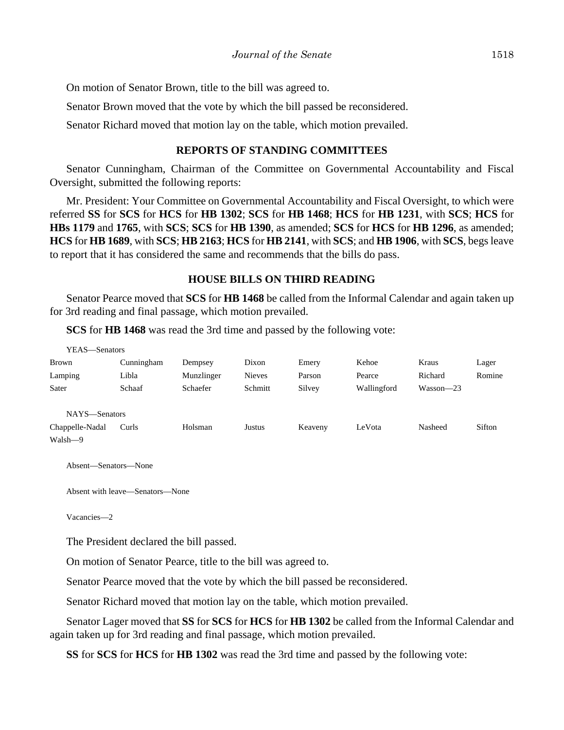On motion of Senator Brown, title to the bill was agreed to.

Senator Brown moved that the vote by which the bill passed be reconsidered.

Senator Richard moved that motion lay on the table, which motion prevailed.

## **REPORTS OF STANDING COMMITTEES**

Senator Cunningham, Chairman of the Committee on Governmental Accountability and Fiscal Oversight, submitted the following reports:

Mr. President: Your Committee on Governmental Accountability and Fiscal Oversight, to which were referred **SS** for **SCS** for **HCS** for **HB 1302**; **SCS** for **HB 1468**; **HCS** for **HB 1231**, with **SCS**; **HCS** for **HBs 1179** and **1765**, with **SCS**; **SCS** for **HB 1390**, as amended; **SCS** for **HCS** for **HB 1296**, as amended; **HCS** for **HB 1689**, with **SCS**; **HB 2163**; **HCS** for **HB 2141**, with **SCS**; and **HB 1906**, with **SCS**, begs leave to report that it has considered the same and recommends that the bills do pass.

## **HOUSE BILLS ON THIRD READING**

Senator Pearce moved that **SCS** for **HB 1468** be called from the Informal Calendar and again taken up for 3rd reading and final passage, which motion prevailed.

**SCS** for **HB 1468** was read the 3rd time and passed by the following vote:

| YEAS—Senators   |            |            |               |         |             |             |        |
|-----------------|------------|------------|---------------|---------|-------------|-------------|--------|
| <b>Brown</b>    | Cunningham | Dempsey    | Dixon         | Emery   | Kehoe       | Kraus       | Lager  |
| Lamping         | Libla      | Munzlinger | <b>Nieves</b> | Parson  | Pearce      | Richard     | Romine |
| Sater           | Schaaf     | Schaefer   | Schmitt       | Silvey  | Wallingford | $Wasson-23$ |        |
|                 |            |            |               |         |             |             |        |
| NAYS-Senators   |            |            |               |         |             |             |        |
| Chappelle-Nadal | Curls      | Holsman    | Justus        | Keaveny | LeVota      | Nasheed     | Sifton |
| Walsh-9         |            |            |               |         |             |             |        |

Absent—Senators—None

Absent with leave—Senators—None

Vacancies—2

The President declared the bill passed.

On motion of Senator Pearce, title to the bill was agreed to.

Senator Pearce moved that the vote by which the bill passed be reconsidered.

Senator Richard moved that motion lay on the table, which motion prevailed.

Senator Lager moved that **SS** for **SCS** for **HCS** for **HB 1302** be called from the Informal Calendar and again taken up for 3rd reading and final passage, which motion prevailed.

**SS** for **SCS** for **HCS** for **HB 1302** was read the 3rd time and passed by the following vote: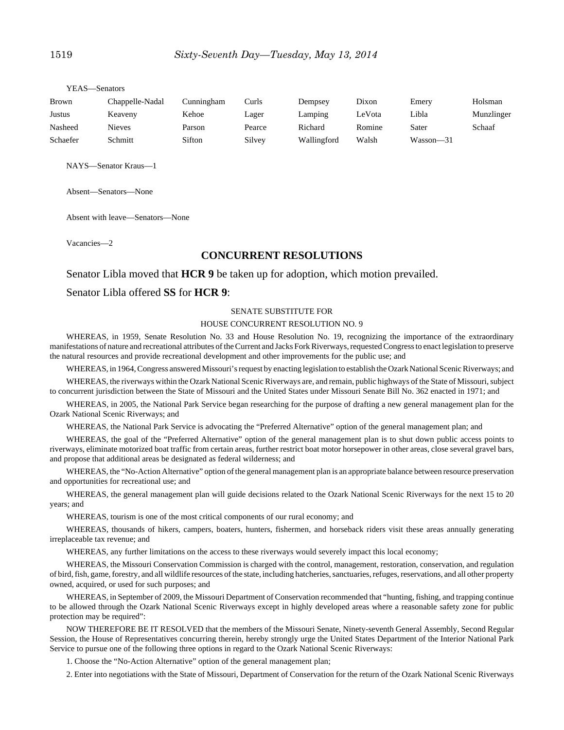| Brown    | Chappelle-Nadal | Cunningham | Curls  | Dempsey     | Dixon  | Emery         | Holsman    |
|----------|-----------------|------------|--------|-------------|--------|---------------|------------|
| Justus   | Keaveny         | Kehoe      | Lager  | Lamping     | LeVota | Libla         | Munzlinger |
| Nasheed  | Nieves          | Parson     | Pearce | Richard     | Romine | Sater         | Schaaf     |
| Schaefer | Schmitt         | Sifton     | Silvey | Wallingford | Walsh  | $Wasson - 31$ |            |

NAYS—Senator Kraus—1

YEAS—Senators

Absent—Senators—None

Absent with leave—Senators—None

Vacancies—2

#### **CONCURRENT RESOLUTIONS**

#### Senator Libla moved that **HCR 9** be taken up for adoption, which motion prevailed.

#### Senator Libla offered **SS** for **HCR 9**:

#### SENATE SUBSTITUTE FOR

#### HOUSE CONCURRENT RESOLUTION NO. 9

WHEREAS, in 1959, Senate Resolution No. 33 and House Resolution No. 19, recognizing the importance of the extraordinary manifestations of nature and recreational attributes of the Current and Jacks Fork Riverways, requested Congress to enact legislation to preserve the natural resources and provide recreational development and other improvements for the public use; and

WHEREAS, in 1964, Congress answered Missouri's request by enacting legislation to establish the Ozark National Scenic Riverways; and

WHEREAS, the riverways within the Ozark National Scenic Riverways are, and remain, public highways of the State of Missouri, subject to concurrent jurisdiction between the State of Missouri and the United States under Missouri Senate Bill No. 362 enacted in 1971; and

WHEREAS, in 2005, the National Park Service began researching for the purpose of drafting a new general management plan for the Ozark National Scenic Riverways; and

WHEREAS, the National Park Service is advocating the "Preferred Alternative" option of the general management plan; and

WHEREAS, the goal of the "Preferred Alternative" option of the general management plan is to shut down public access points to riverways, eliminate motorized boat traffic from certain areas, further restrict boat motor horsepower in other areas, close several gravel bars, and propose that additional areas be designated as federal wilderness; and

WHEREAS, the "No-Action Alternative" option of the general management plan is an appropriate balance between resource preservation and opportunities for recreational use; and

WHEREAS, the general management plan will guide decisions related to the Ozark National Scenic Riverways for the next 15 to 20 years; and

WHEREAS, tourism is one of the most critical components of our rural economy; and

WHEREAS, thousands of hikers, campers, boaters, hunters, fishermen, and horseback riders visit these areas annually generating irreplaceable tax revenue; and

WHEREAS, any further limitations on the access to these riverways would severely impact this local economy;

WHEREAS, the Missouri Conservation Commission is charged with the control, management, restoration, conservation, and regulation of bird, fish, game, forestry, and all wildlife resources of the state, including hatcheries, sanctuaries, refuges, reservations, and all other property owned, acquired, or used for such purposes; and

WHEREAS, in September of 2009, the Missouri Department of Conservation recommended that "hunting, fishing, and trapping continue to be allowed through the Ozark National Scenic Riverways except in highly developed areas where a reasonable safety zone for public protection may be required":

NOW THEREFORE BE IT RESOLVED that the members of the Missouri Senate, Ninety-seventh General Assembly, Second Regular Session, the House of Representatives concurring therein, hereby strongly urge the United States Department of the Interior National Park Service to pursue one of the following three options in regard to the Ozark National Scenic Riverways:

1. Choose the "No-Action Alternative" option of the general management plan;

2. Enter into negotiations with the State of Missouri, Department of Conservation for the return of the Ozark National Scenic Riverways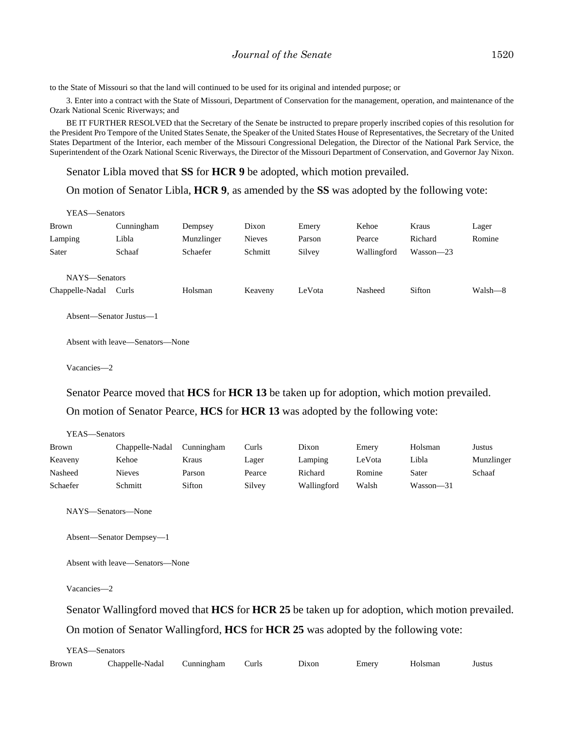to the State of Missouri so that the land will continued to be used for its original and intended purpose; or

3. Enter into a contract with the State of Missouri, Department of Conservation for the management, operation, and maintenance of the Ozark National Scenic Riverways; and

BE IT FURTHER RESOLVED that the Secretary of the Senate be instructed to prepare properly inscribed copies of this resolution for the President Pro Tempore of the United States Senate, the Speaker of the United States House of Representatives, the Secretary of the United States Department of the Interior, each member of the Missouri Congressional Delegation, the Director of the National Park Service, the Superintendent of the Ozark National Scenic Riverways, the Director of the Missouri Department of Conservation, and Governor Jay Nixon.

Senator Libla moved that **SS** for **HCR 9** be adopted, which motion prevailed.

On motion of Senator Libla, **HCR 9**, as amended by the **SS** was adopted by the following vote:

| YEAS—Senators                    |                                 |            |               |        |             |             |         |
|----------------------------------|---------------------------------|------------|---------------|--------|-------------|-------------|---------|
| Brown                            | Cunningham                      | Dempsey    | Dixon         | Emery  | Kehoe       | Kraus       | Lager   |
| Lamping                          | Libla                           | Munzlinger | <b>Nieves</b> | Parson | Pearce      | Richard     | Romine  |
| Sater                            | Schaaf                          | Schaefer   | Schmitt       | Silvey | Wallingford | $Wasson-23$ |         |
| NAYS-Senators<br>Chappelle-Nadal | Curls                           | Holsman    | Keaveny       | LeVota | Nasheed     | Sifton      | Walsh—8 |
| Absent—Senator Justus—1          |                                 |            |               |        |             |             |         |
|                                  | Absent with leave—Senators—None |            |               |        |             |             |         |

Vacancies—2

YEAS—Senators

Senator Pearce moved that **HCS** for **HCR 13** be taken up for adoption, which motion prevailed. On motion of Senator Pearce, **HCS** for **HCR 13** was adopted by the following vote:

| r EAS—Senators |                 |            |        |             |        |           |            |
|----------------|-----------------|------------|--------|-------------|--------|-----------|------------|
| <b>Brown</b>   | Chappelle-Nadal | Cunningham | Curls  | Dixon       | Emery  | Holsman   | Justus     |
| Keaveny        | Kehoe           | Kraus      | Lager  | Lamping     | LeVota | Libla     | Munzlinger |
| Nasheed        | <b>Nieves</b>   | Parson     | Pearce | Richard     | Romine | Sater     | Schaaf     |
| Schaefer       | Schmitt         | Sifton     | Silvey | Wallingford | Walsh  | Wasson-31 |            |

NAYS—Senators—None

Absent—Senator Dempsey—1

Absent with leave—Senators—None

Vacancies—2

Senator Wallingford moved that **HCS** for **HCR 25** be taken up for adoption, which motion prevailed.

On motion of Senator Wallingford, **HCS** for **HCR 25** was adopted by the following vote:

|       | YEAS—Senators   |            |       |       |       |         |        |
|-------|-----------------|------------|-------|-------|-------|---------|--------|
| Brown | Chappelle-Nadal | Cunningham | Curls | Dixon | Emery | Holsman | Justus |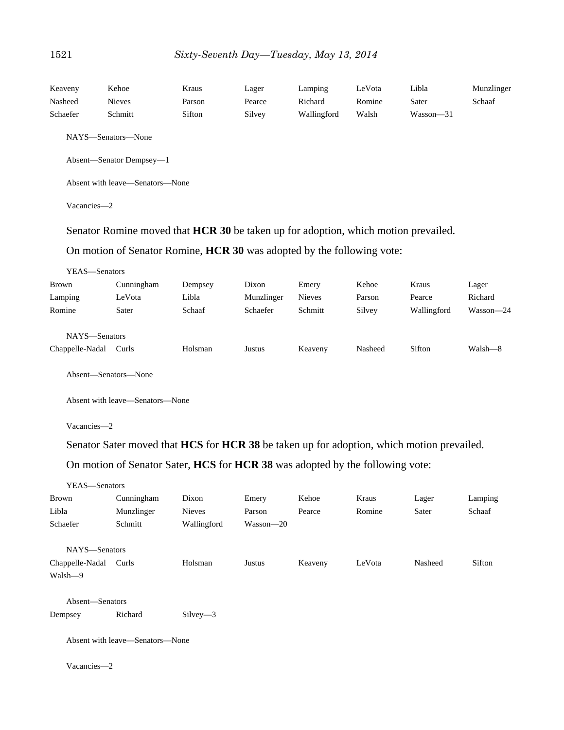| Keaveny       | Kehoe                                                                              | Kraus   | Lager      | Lamping       | LeVota | Libla       | Munzlinger |
|---------------|------------------------------------------------------------------------------------|---------|------------|---------------|--------|-------------|------------|
| Nasheed       | <b>Nieves</b>                                                                      | Parson  | Pearce     | Richard       | Romine | Sater       | Schaaf     |
| Schaefer      | Schmitt                                                                            | Sifton  | Silvey     | Wallingford   | Walsh  | Wasson-31   |            |
|               | NAYS—Senators—None                                                                 |         |            |               |        |             |            |
|               | Absent-Senator Dempsey-1                                                           |         |            |               |        |             |            |
|               | Absent with leave—Senators—None                                                    |         |            |               |        |             |            |
| Vacancies-2   |                                                                                    |         |            |               |        |             |            |
|               | Senator Romine moved that HCR 30 be taken up for adoption, which motion prevailed. |         |            |               |        |             |            |
|               | On motion of Senator Romine, <b>HCR 30</b> was adopted by the following vote:      |         |            |               |        |             |            |
| YEAS-Senators |                                                                                    |         |            |               |        |             |            |
| <b>Brown</b>  | Cunningham                                                                         | Dempsey | Dixon      | Emery         | Kehoe  | Kraus       | Lager      |
| Lamping       | LeVota                                                                             | Libla   | Munzlinger | <b>Nieves</b> | Parson | Pearce      | Richard    |
| Romine        | Sater                                                                              | Schaaf  | Schaefer   | Schmitt       | Silvey | Wallingford | Wasson-24  |
| NAYS-Senators |                                                                                    |         |            |               |        |             |            |

Absent—Senators—None

Absent with leave—Senators—None

Vacancies—2

Senator Sater moved that **HCS** for **HCR 38** be taken up for adoption, which motion prevailed.

Chappelle-Nadal Curls Holsman Justus Keaveny Nasheed Sifton Walsh—8

On motion of Senator Sater, **HCS** for **HCR 38** was adopted by the following vote:

| YEAS-Senators   |                                 |               |           |         |        |         |         |
|-----------------|---------------------------------|---------------|-----------|---------|--------|---------|---------|
| Brown           | Cunningham                      | Dixon         | Emery     | Kehoe   | Kraus  | Lager   | Lamping |
| Libla           | Munzlinger                      | <b>Nieves</b> | Parson    | Pearce  | Romine | Sater   | Schaaf  |
| Schaefer        | Schmitt                         | Wallingford   | Wasson-20 |         |        |         |         |
| NAYS-Senators   |                                 |               |           |         |        |         |         |
| Chappelle-Nadal | Curls                           | Holsman       | Justus    | Keaveny | LeVota | Nasheed | Sifton  |
| Walsh-9         |                                 |               |           |         |        |         |         |
| Absent-Senators |                                 |               |           |         |        |         |         |
| Dempsey         | Richard                         | $Silvey-3$    |           |         |        |         |         |
|                 | Absent with leave—Senators—None |               |           |         |        |         |         |
| Vacancies-2     |                                 |               |           |         |        |         |         |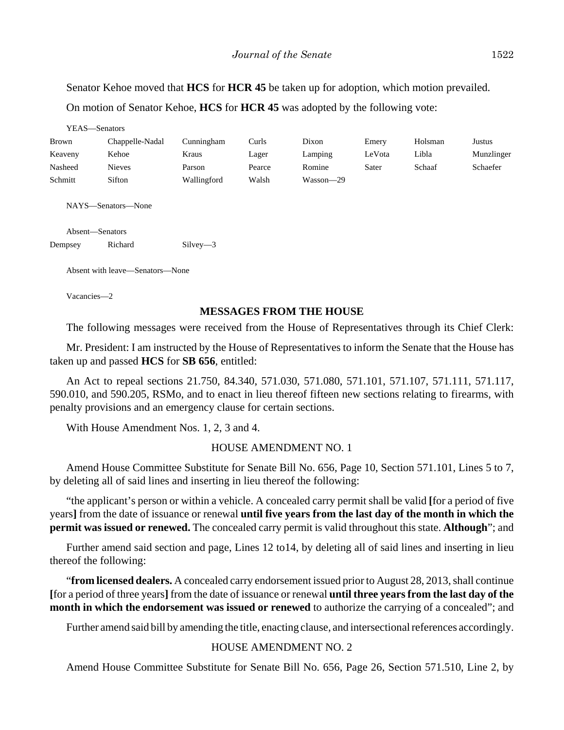Senator Kehoe moved that **HCS** for **HCR 45** be taken up for adoption, which motion prevailed. On motion of Senator Kehoe, **HCS** for **HCR 45** was adopted by the following vote:

|              | YEAS-Senators                         |             |        |           |        |         |            |
|--------------|---------------------------------------|-------------|--------|-----------|--------|---------|------------|
| <b>Brown</b> | Chappelle-Nadal                       | Cunningham  | Curls  | Dixon     | Emery  | Holsman | Justus     |
| Keaveny      | Kehoe                                 | Kraus       | Lager  | Lamping   | LeVota | Libla   | Munzlinger |
| Nasheed      | <b>Nieves</b>                         | Parson      | Pearce | Romine    | Sater  | Schaaf  | Schaefer   |
| Schmitt      | Sifton                                | Wallingford | Walsh  | Wasson-29 |        |         |            |
|              | NAYS-Senators-None<br>Absent-Senators |             |        |           |        |         |            |
| Dempsey      | Richard                               | $Silvey-3$  |        |           |        |         |            |
|              |                                       |             |        |           |        |         |            |
|              | Absent with leave—Senators—None       |             |        |           |        |         |            |
| Vacancies-2  |                                       |             |        |           |        |         |            |

## **MESSAGES FROM THE HOUSE**

The following messages were received from the House of Representatives through its Chief Clerk:

Mr. President: I am instructed by the House of Representatives to inform the Senate that the House has taken up and passed **HCS** for **SB 656**, entitled:

An Act to repeal sections 21.750, 84.340, 571.030, 571.080, 571.101, 571.107, 571.111, 571.117, 590.010, and 590.205, RSMo, and to enact in lieu thereof fifteen new sections relating to firearms, with penalty provisions and an emergency clause for certain sections.

With House Amendment Nos. 1, 2, 3 and 4.

#### HOUSE AMENDMENT NO. 1

Amend House Committee Substitute for Senate Bill No. 656, Page 10, Section 571.101, Lines 5 to 7, by deleting all of said lines and inserting in lieu thereof the following:

"the applicant's person or within a vehicle. A concealed carry permit shall be valid **[**for a period of five years**]** from the date of issuance or renewal **until five years from the last day of the month in which the permit was issued or renewed.** The concealed carry permit is valid throughout this state. **Although**"; and

Further amend said section and page, Lines 12 to14, by deleting all of said lines and inserting in lieu thereof the following:

"**from licensed dealers.** A concealed carry endorsement issued prior to August 28, 2013, shall continue **[**for a period of three years**]** from the date of issuance or renewal **until three years from the last day of the month in which the endorsement was issued or renewed** to authorize the carrying of a concealed"; and

Further amend said bill by amending the title, enacting clause, and intersectional references accordingly.

## HOUSE AMENDMENT NO. 2

Amend House Committee Substitute for Senate Bill No. 656, Page 26, Section 571.510, Line 2, by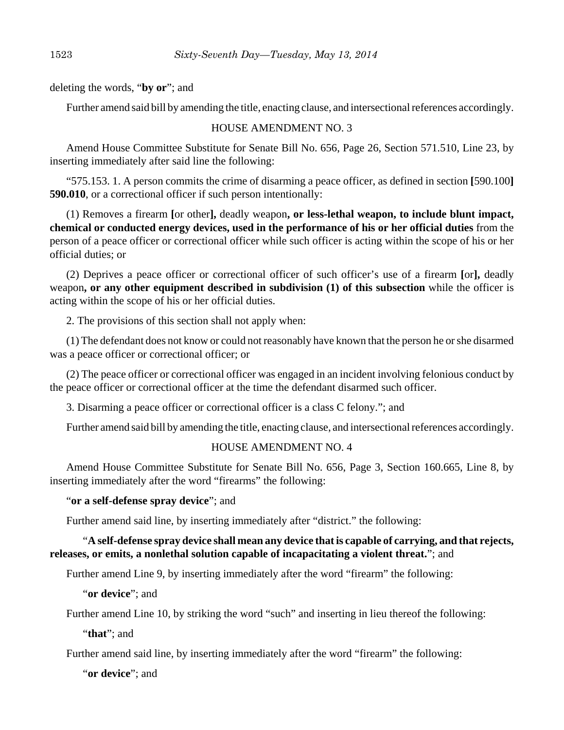deleting the words, "**by or**"; and

Further amend said bill by amending the title, enacting clause, and intersectional references accordingly.

## HOUSE AMENDMENT NO. 3

Amend House Committee Substitute for Senate Bill No. 656, Page 26, Section 571.510, Line 23, by inserting immediately after said line the following:

"575.153. 1. A person commits the crime of disarming a peace officer, as defined in section **[**590.100**] 590.010**, or a correctional officer if such person intentionally:

(1) Removes a firearm **[**or other**],** deadly weapon**, or less-lethal weapon, to include blunt impact, chemical or conducted energy devices, used in the performance of his or her official duties** from the person of a peace officer or correctional officer while such officer is acting within the scope of his or her official duties; or

(2) Deprives a peace officer or correctional officer of such officer's use of a firearm **[**or**],** deadly weapon**, or any other equipment described in subdivision (1) of this subsection** while the officer is acting within the scope of his or her official duties.

2. The provisions of this section shall not apply when:

(1) The defendant does not know or could not reasonably have known that the person he or she disarmed was a peace officer or correctional officer; or

(2) The peace officer or correctional officer was engaged in an incident involving felonious conduct by the peace officer or correctional officer at the time the defendant disarmed such officer.

3. Disarming a peace officer or correctional officer is a class C felony."; and

Further amend said bill by amending the title, enacting clause, and intersectional references accordingly.

## HOUSE AMENDMENT NO. 4

Amend House Committee Substitute for Senate Bill No. 656, Page 3, Section 160.665, Line 8, by inserting immediately after the word "firearms" the following:

"**or a self-defense spray device**"; and

Further amend said line, by inserting immediately after "district." the following:

## "**A self-defense spray device shall mean any device that is capable of carrying, and that rejects, releases, or emits, a nonlethal solution capable of incapacitating a violent threat.**"; and

Further amend Line 9, by inserting immediately after the word "firearm" the following:

"**or device**"; and

Further amend Line 10, by striking the word "such" and inserting in lieu thereof the following:

"**that**"; and

Further amend said line, by inserting immediately after the word "firearm" the following:

"**or device**"; and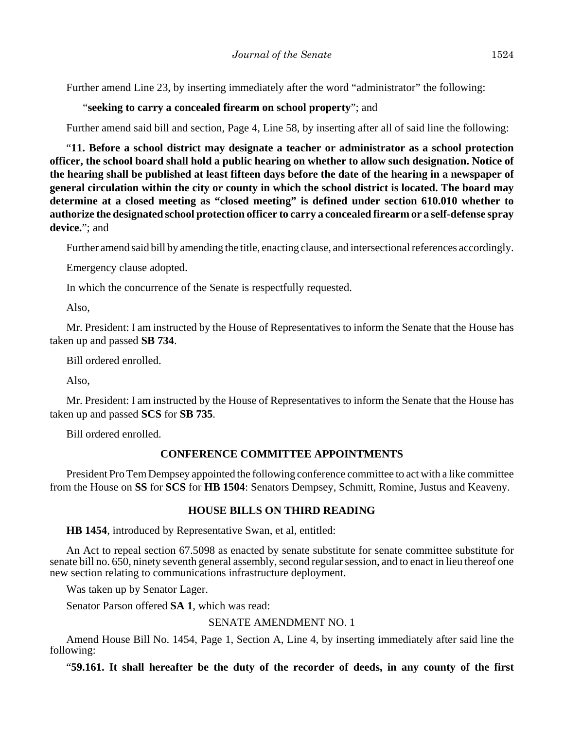Further amend Line 23, by inserting immediately after the word "administrator" the following:

"**seeking to carry a concealed firearm on school property**"; and

Further amend said bill and section, Page 4, Line 58, by inserting after all of said line the following:

"**11. Before a school district may designate a teacher or administrator as a school protection officer, the school board shall hold a public hearing on whether to allow such designation. Notice of the hearing shall be published at least fifteen days before the date of the hearing in a newspaper of general circulation within the city or county in which the school district is located. The board may determine at a closed meeting as "closed meeting" is defined under section 610.010 whether to authorize the designated school protection officer to carry a concealed firearm or a self-defense spray device.**"; and

Further amend said bill by amending the title, enacting clause, and intersectional references accordingly.

Emergency clause adopted.

In which the concurrence of the Senate is respectfully requested.

Also,

Mr. President: I am instructed by the House of Representatives to inform the Senate that the House has taken up and passed **SB 734**.

Bill ordered enrolled.

Also,

Mr. President: I am instructed by the House of Representatives to inform the Senate that the House has taken up and passed **SCS** for **SB 735**.

Bill ordered enrolled.

#### **CONFERENCE COMMITTEE APPOINTMENTS**

President Pro Tem Dempsey appointed the following conference committee to act with a like committee from the House on **SS** for **SCS** for **HB 1504**: Senators Dempsey, Schmitt, Romine, Justus and Keaveny.

#### **HOUSE BILLS ON THIRD READING**

**HB 1454**, introduced by Representative Swan, et al, entitled:

An Act to repeal section 67.5098 as enacted by senate substitute for senate committee substitute for senate bill no. 650, ninety seventh general assembly, second regular session, and to enact in lieu thereof one new section relating to communications infrastructure deployment.

Was taken up by Senator Lager.

Senator Parson offered **SA 1**, which was read:

SENATE AMENDMENT NO. 1

Amend House Bill No. 1454, Page 1, Section A, Line 4, by inserting immediately after said line the following:

"**59.161. It shall hereafter be the duty of the recorder of deeds, in any county of the first**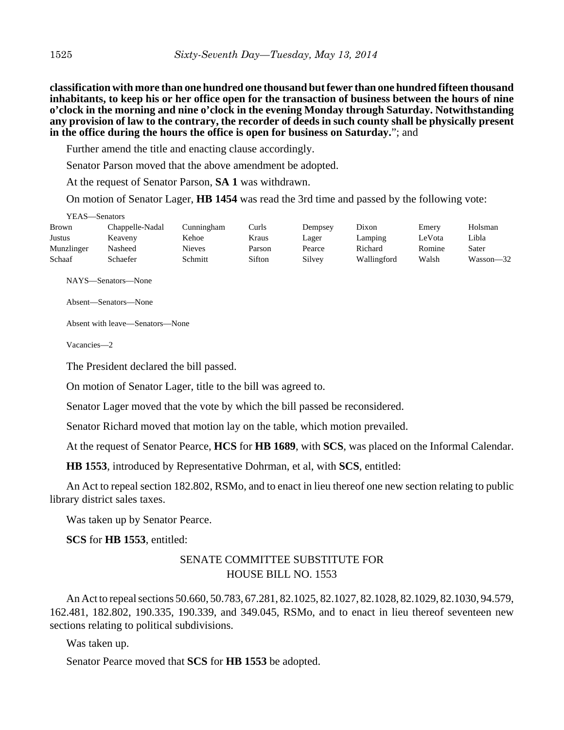**classification with more than one hundred one thousand but fewer than one hundred fifteen thousand inhabitants, to keep his or her office open for the transaction of business between the hours of nine o'clock in the morning and nine o'clock in the evening Monday through Saturday. Notwithstanding any provision of law to the contrary, the recorder of deeds in such county shall be physically present in the office during the hours the office is open for business on Saturday.**"; and

Further amend the title and enacting clause accordingly.

Senator Parson moved that the above amendment be adopted.

At the request of Senator Parson, **SA 1** was withdrawn.

On motion of Senator Lager, **HB 1454** was read the 3rd time and passed by the following vote:

| Y EAS—Senators |                 |            |        |         |             |        |           |
|----------------|-----------------|------------|--------|---------|-------------|--------|-----------|
| Brown          | Chappelle-Nadal | Cunningham | Curls  | Dempsey | Dixon       | Emery  | Holsman   |
| Justus         | Keaveny         | Kehoe      | Kraus  | Lager   | Lamping     | LeVota | Libla     |
| Munzlinger     | Nasheed         | Nieves     | Parson | Pearce  | Richard     | Romine | Sater     |
| Schaaf         | Schaefer        | Schmitt    | Sifton | Silvey  | Wallingford | Walsh  | Wasson—32 |

NAYS—Senators—None

Absent—Senators—None

Absent with leave—Senators—None

Vacancies—2

 $\frac{1}{2}$ 

The President declared the bill passed.

On motion of Senator Lager, title to the bill was agreed to.

Senator Lager moved that the vote by which the bill passed be reconsidered.

Senator Richard moved that motion lay on the table, which motion prevailed.

At the request of Senator Pearce, **HCS** for **HB 1689**, with **SCS**, was placed on the Informal Calendar.

**HB 1553**, introduced by Representative Dohrman, et al, with **SCS**, entitled:

An Act to repeal section 182.802, RSMo, and to enact in lieu thereof one new section relating to public library district sales taxes.

Was taken up by Senator Pearce.

**SCS** for **HB 1553**, entitled:

## SENATE COMMITTEE SUBSTITUTE FOR HOUSE BILL NO. 1553

An Act to repeal sections 50.660, 50.783, 67.281, 82.1025, 82.1027, 82.1028, 82.1029, 82.1030, 94.579, 162.481, 182.802, 190.335, 190.339, and 349.045, RSMo, and to enact in lieu thereof seventeen new sections relating to political subdivisions.

Was taken up.

Senator Pearce moved that **SCS** for **HB 1553** be adopted.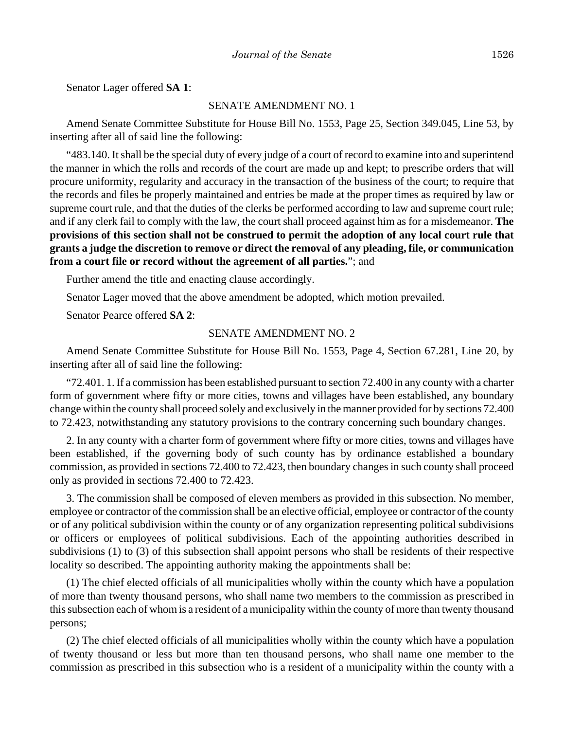Senator Lager offered **SA 1**:

#### SENATE AMENDMENT NO. 1

Amend Senate Committee Substitute for House Bill No. 1553, Page 25, Section 349.045, Line 53, by inserting after all of said line the following:

"483.140. It shall be the special duty of every judge of a court of record to examine into and superintend the manner in which the rolls and records of the court are made up and kept; to prescribe orders that will procure uniformity, regularity and accuracy in the transaction of the business of the court; to require that the records and files be properly maintained and entries be made at the proper times as required by law or supreme court rule, and that the duties of the clerks be performed according to law and supreme court rule; and if any clerk fail to comply with the law, the court shall proceed against him as for a misdemeanor. **The provisions of this section shall not be construed to permit the adoption of any local court rule that grants a judge the discretion to remove or direct the removal of any pleading, file, or communication from a court file or record without the agreement of all parties.**"; and

Further amend the title and enacting clause accordingly.

Senator Lager moved that the above amendment be adopted, which motion prevailed.

Senator Pearce offered **SA 2**:

#### SENATE AMENDMENT NO. 2

Amend Senate Committee Substitute for House Bill No. 1553, Page 4, Section 67.281, Line 20, by inserting after all of said line the following:

"72.401. 1. If a commission has been established pursuant to section 72.400 in any county with a charter form of government where fifty or more cities, towns and villages have been established, any boundary change within the county shall proceed solely and exclusively in the manner provided for by sections 72.400 to 72.423, notwithstanding any statutory provisions to the contrary concerning such boundary changes.

2. In any county with a charter form of government where fifty or more cities, towns and villages have been established, if the governing body of such county has by ordinance established a boundary commission, as provided in sections 72.400 to 72.423, then boundary changes in such county shall proceed only as provided in sections 72.400 to 72.423.

3. The commission shall be composed of eleven members as provided in this subsection. No member, employee or contractor of the commission shall be an elective official, employee or contractor of the county or of any political subdivision within the county or of any organization representing political subdivisions or officers or employees of political subdivisions. Each of the appointing authorities described in subdivisions (1) to (3) of this subsection shall appoint persons who shall be residents of their respective locality so described. The appointing authority making the appointments shall be:

(1) The chief elected officials of all municipalities wholly within the county which have a population of more than twenty thousand persons, who shall name two members to the commission as prescribed in this subsection each of whom is a resident of a municipality within the county of more than twenty thousand persons;

(2) The chief elected officials of all municipalities wholly within the county which have a population of twenty thousand or less but more than ten thousand persons, who shall name one member to the commission as prescribed in this subsection who is a resident of a municipality within the county with a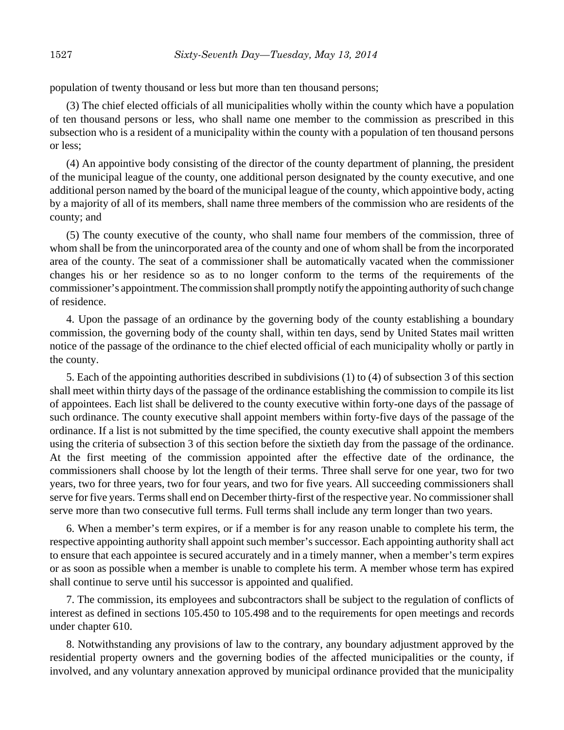population of twenty thousand or less but more than ten thousand persons;

(3) The chief elected officials of all municipalities wholly within the county which have a population of ten thousand persons or less, who shall name one member to the commission as prescribed in this subsection who is a resident of a municipality within the county with a population of ten thousand persons or less;

(4) An appointive body consisting of the director of the county department of planning, the president of the municipal league of the county, one additional person designated by the county executive, and one additional person named by the board of the municipal league of the county, which appointive body, acting by a majority of all of its members, shall name three members of the commission who are residents of the county; and

(5) The county executive of the county, who shall name four members of the commission, three of whom shall be from the unincorporated area of the county and one of whom shall be from the incorporated area of the county. The seat of a commissioner shall be automatically vacated when the commissioner changes his or her residence so as to no longer conform to the terms of the requirements of the commissioner's appointment. The commission shall promptly notify the appointing authority of such change of residence.

4. Upon the passage of an ordinance by the governing body of the county establishing a boundary commission, the governing body of the county shall, within ten days, send by United States mail written notice of the passage of the ordinance to the chief elected official of each municipality wholly or partly in the county.

5. Each of the appointing authorities described in subdivisions (1) to (4) of subsection 3 of this section shall meet within thirty days of the passage of the ordinance establishing the commission to compile its list of appointees. Each list shall be delivered to the county executive within forty-one days of the passage of such ordinance. The county executive shall appoint members within forty-five days of the passage of the ordinance. If a list is not submitted by the time specified, the county executive shall appoint the members using the criteria of subsection 3 of this section before the sixtieth day from the passage of the ordinance. At the first meeting of the commission appointed after the effective date of the ordinance, the commissioners shall choose by lot the length of their terms. Three shall serve for one year, two for two years, two for three years, two for four years, and two for five years. All succeeding commissioners shall serve for five years. Terms shall end on December thirty-first of the respective year. No commissioner shall serve more than two consecutive full terms. Full terms shall include any term longer than two years.

6. When a member's term expires, or if a member is for any reason unable to complete his term, the respective appointing authority shall appoint such member's successor. Each appointing authority shall act to ensure that each appointee is secured accurately and in a timely manner, when a member's term expires or as soon as possible when a member is unable to complete his term. A member whose term has expired shall continue to serve until his successor is appointed and qualified.

7. The commission, its employees and subcontractors shall be subject to the regulation of conflicts of interest as defined in sections 105.450 to 105.498 and to the requirements for open meetings and records under chapter 610.

8. Notwithstanding any provisions of law to the contrary, any boundary adjustment approved by the residential property owners and the governing bodies of the affected municipalities or the county, if involved, and any voluntary annexation approved by municipal ordinance provided that the municipality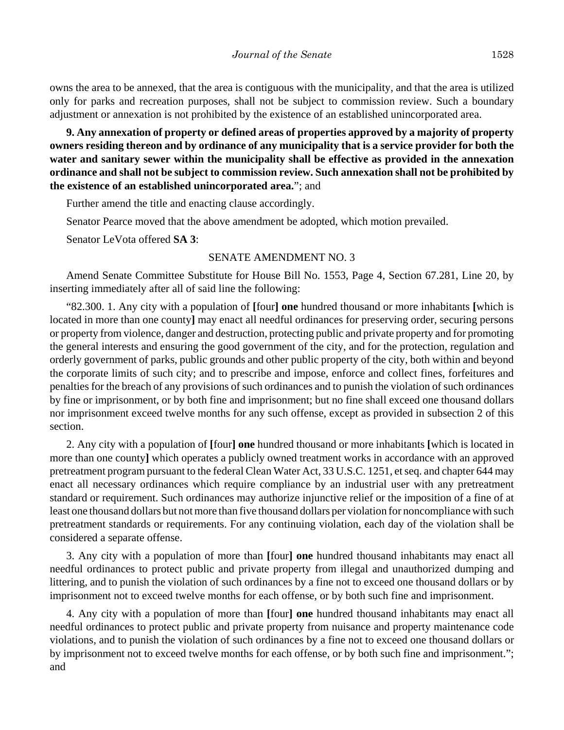owns the area to be annexed, that the area is contiguous with the municipality, and that the area is utilized only for parks and recreation purposes, shall not be subject to commission review. Such a boundary adjustment or annexation is not prohibited by the existence of an established unincorporated area.

**9. Any annexation of property or defined areas of properties approved by a majority of property owners residing thereon and by ordinance of any municipality that is a service provider for both the water and sanitary sewer within the municipality shall be effective as provided in the annexation ordinance and shall not be subject to commission review. Such annexation shall not be prohibited by the existence of an established unincorporated area.**"; and

Further amend the title and enacting clause accordingly.

Senator Pearce moved that the above amendment be adopted, which motion prevailed.

Senator LeVota offered **SA 3**:

## SENATE AMENDMENT NO. 3

Amend Senate Committee Substitute for House Bill No. 1553, Page 4, Section 67.281, Line 20, by inserting immediately after all of said line the following:

"82.300. 1. Any city with a population of **[**four**] one** hundred thousand or more inhabitants **[**which is located in more than one county**]** may enact all needful ordinances for preserving order, securing persons or property from violence, danger and destruction, protecting public and private property and for promoting the general interests and ensuring the good government of the city, and for the protection, regulation and orderly government of parks, public grounds and other public property of the city, both within and beyond the corporate limits of such city; and to prescribe and impose, enforce and collect fines, forfeitures and penalties for the breach of any provisions of such ordinances and to punish the violation of such ordinances by fine or imprisonment, or by both fine and imprisonment; but no fine shall exceed one thousand dollars nor imprisonment exceed twelve months for any such offense, except as provided in subsection 2 of this section.

2. Any city with a population of **[**four**] one** hundred thousand or more inhabitants **[**which is located in more than one county**]** which operates a publicly owned treatment works in accordance with an approved pretreatment program pursuant to the federal Clean Water Act, 33 U.S.C. 1251, et seq. and chapter 644 may enact all necessary ordinances which require compliance by an industrial user with any pretreatment standard or requirement. Such ordinances may authorize injunctive relief or the imposition of a fine of at least one thousand dollars but not more than five thousand dollars per violation for noncompliance with such pretreatment standards or requirements. For any continuing violation, each day of the violation shall be considered a separate offense.

3. Any city with a population of more than **[**four**] one** hundred thousand inhabitants may enact all needful ordinances to protect public and private property from illegal and unauthorized dumping and littering, and to punish the violation of such ordinances by a fine not to exceed one thousand dollars or by imprisonment not to exceed twelve months for each offense, or by both such fine and imprisonment.

4. Any city with a population of more than **[**four**] one** hundred thousand inhabitants may enact all needful ordinances to protect public and private property from nuisance and property maintenance code violations, and to punish the violation of such ordinances by a fine not to exceed one thousand dollars or by imprisonment not to exceed twelve months for each offense, or by both such fine and imprisonment."; and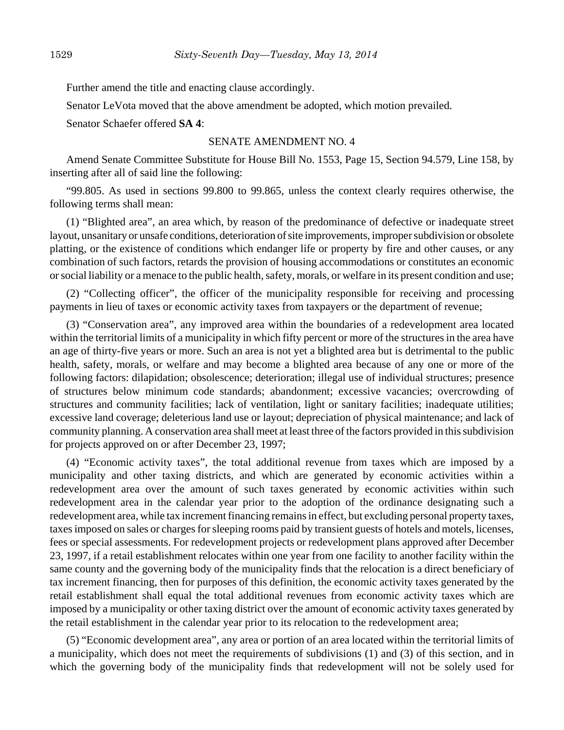Further amend the title and enacting clause accordingly.

Senator LeVota moved that the above amendment be adopted, which motion prevailed.

Senator Schaefer offered **SA 4**:

#### SENATE AMENDMENT NO. 4

Amend Senate Committee Substitute for House Bill No. 1553, Page 15, Section 94.579, Line 158, by inserting after all of said line the following:

"99.805. As used in sections 99.800 to 99.865, unless the context clearly requires otherwise, the following terms shall mean:

(1) "Blighted area", an area which, by reason of the predominance of defective or inadequate street layout, unsanitary or unsafe conditions, deterioration of site improvements, improper subdivision or obsolete platting, or the existence of conditions which endanger life or property by fire and other causes, or any combination of such factors, retards the provision of housing accommodations or constitutes an economic or social liability or a menace to the public health, safety, morals, or welfare in its present condition and use;

(2) "Collecting officer", the officer of the municipality responsible for receiving and processing payments in lieu of taxes or economic activity taxes from taxpayers or the department of revenue;

(3) "Conservation area", any improved area within the boundaries of a redevelopment area located within the territorial limits of a municipality in which fifty percent or more of the structures in the area have an age of thirty-five years or more. Such an area is not yet a blighted area but is detrimental to the public health, safety, morals, or welfare and may become a blighted area because of any one or more of the following factors: dilapidation; obsolescence; deterioration; illegal use of individual structures; presence of structures below minimum code standards; abandonment; excessive vacancies; overcrowding of structures and community facilities; lack of ventilation, light or sanitary facilities; inadequate utilities; excessive land coverage; deleterious land use or layout; depreciation of physical maintenance; and lack of community planning. A conservation area shall meet at least three of the factors provided in this subdivision for projects approved on or after December 23, 1997;

(4) "Economic activity taxes", the total additional revenue from taxes which are imposed by a municipality and other taxing districts, and which are generated by economic activities within a redevelopment area over the amount of such taxes generated by economic activities within such redevelopment area in the calendar year prior to the adoption of the ordinance designating such a redevelopment area, while tax increment financing remains in effect, but excluding personal property taxes, taxes imposed on sales or charges for sleeping rooms paid by transient guests of hotels and motels, licenses, fees or special assessments. For redevelopment projects or redevelopment plans approved after December 23, 1997, if a retail establishment relocates within one year from one facility to another facility within the same county and the governing body of the municipality finds that the relocation is a direct beneficiary of tax increment financing, then for purposes of this definition, the economic activity taxes generated by the retail establishment shall equal the total additional revenues from economic activity taxes which are imposed by a municipality or other taxing district over the amount of economic activity taxes generated by the retail establishment in the calendar year prior to its relocation to the redevelopment area;

(5) "Economic development area", any area or portion of an area located within the territorial limits of a municipality, which does not meet the requirements of subdivisions (1) and (3) of this section, and in which the governing body of the municipality finds that redevelopment will not be solely used for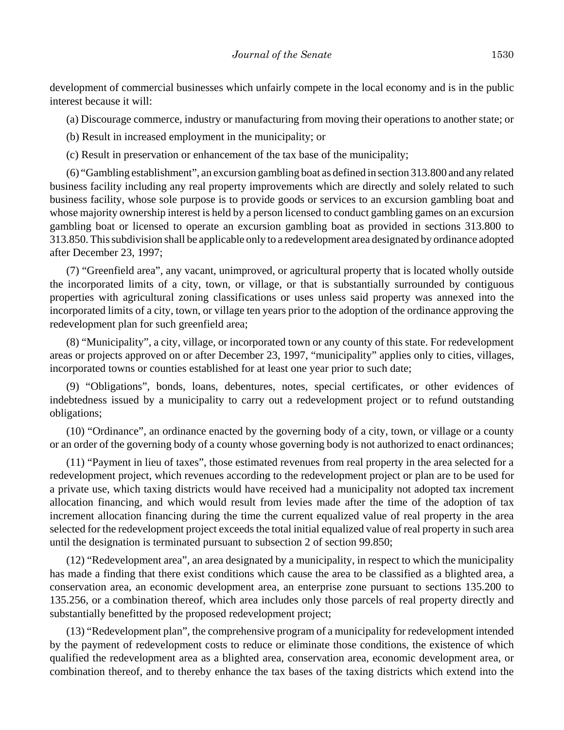development of commercial businesses which unfairly compete in the local economy and is in the public interest because it will:

(a) Discourage commerce, industry or manufacturing from moving their operations to another state; or

(b) Result in increased employment in the municipality; or

(c) Result in preservation or enhancement of the tax base of the municipality;

(6) "Gambling establishment", an excursion gambling boat as defined in section 313.800 and any related business facility including any real property improvements which are directly and solely related to such business facility, whose sole purpose is to provide goods or services to an excursion gambling boat and whose majority ownership interest is held by a person licensed to conduct gambling games on an excursion gambling boat or licensed to operate an excursion gambling boat as provided in sections 313.800 to 313.850. This subdivision shall be applicable only to a redevelopment area designated by ordinance adopted after December 23, 1997;

(7) "Greenfield area", any vacant, unimproved, or agricultural property that is located wholly outside the incorporated limits of a city, town, or village, or that is substantially surrounded by contiguous properties with agricultural zoning classifications or uses unless said property was annexed into the incorporated limits of a city, town, or village ten years prior to the adoption of the ordinance approving the redevelopment plan for such greenfield area;

(8) "Municipality", a city, village, or incorporated town or any county of this state. For redevelopment areas or projects approved on or after December 23, 1997, "municipality" applies only to cities, villages, incorporated towns or counties established for at least one year prior to such date;

(9) "Obligations", bonds, loans, debentures, notes, special certificates, or other evidences of indebtedness issued by a municipality to carry out a redevelopment project or to refund outstanding obligations;

(10) "Ordinance", an ordinance enacted by the governing body of a city, town, or village or a county or an order of the governing body of a county whose governing body is not authorized to enact ordinances;

(11) "Payment in lieu of taxes", those estimated revenues from real property in the area selected for a redevelopment project, which revenues according to the redevelopment project or plan are to be used for a private use, which taxing districts would have received had a municipality not adopted tax increment allocation financing, and which would result from levies made after the time of the adoption of tax increment allocation financing during the time the current equalized value of real property in the area selected for the redevelopment project exceeds the total initial equalized value of real property in such area until the designation is terminated pursuant to subsection 2 of section 99.850;

(12) "Redevelopment area", an area designated by a municipality, in respect to which the municipality has made a finding that there exist conditions which cause the area to be classified as a blighted area, a conservation area, an economic development area, an enterprise zone pursuant to sections 135.200 to 135.256, or a combination thereof, which area includes only those parcels of real property directly and substantially benefitted by the proposed redevelopment project;

(13) "Redevelopment plan", the comprehensive program of a municipality for redevelopment intended by the payment of redevelopment costs to reduce or eliminate those conditions, the existence of which qualified the redevelopment area as a blighted area, conservation area, economic development area, or combination thereof, and to thereby enhance the tax bases of the taxing districts which extend into the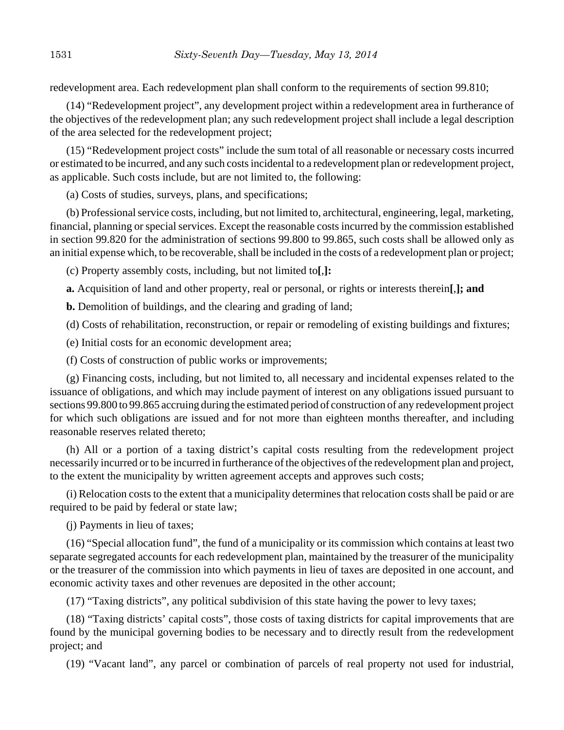redevelopment area. Each redevelopment plan shall conform to the requirements of section 99.810;

(14) "Redevelopment project", any development project within a redevelopment area in furtherance of the objectives of the redevelopment plan; any such redevelopment project shall include a legal description of the area selected for the redevelopment project;

(15) "Redevelopment project costs" include the sum total of all reasonable or necessary costs incurred or estimated to be incurred, and any such costs incidental to a redevelopment plan or redevelopment project, as applicable. Such costs include, but are not limited to, the following:

(a) Costs of studies, surveys, plans, and specifications;

(b) Professional service costs, including, but not limited to, architectural, engineering, legal, marketing, financial, planning or special services. Except the reasonable costs incurred by the commission established in section 99.820 for the administration of sections 99.800 to 99.865, such costs shall be allowed only as an initial expense which, to be recoverable, shall be included in the costs of a redevelopment plan or project;

(c) Property assembly costs, including, but not limited to**[**,**]:**

**a.** Acquisition of land and other property, real or personal, or rights or interests therein**[**,**]; and**

**b.** Demolition of buildings, and the clearing and grading of land;

(d) Costs of rehabilitation, reconstruction, or repair or remodeling of existing buildings and fixtures;

(e) Initial costs for an economic development area;

(f) Costs of construction of public works or improvements;

(g) Financing costs, including, but not limited to, all necessary and incidental expenses related to the issuance of obligations, and which may include payment of interest on any obligations issued pursuant to sections 99.800 to 99.865 accruing during the estimated period of construction of any redevelopment project for which such obligations are issued and for not more than eighteen months thereafter, and including reasonable reserves related thereto;

(h) All or a portion of a taxing district's capital costs resulting from the redevelopment project necessarily incurred or to be incurred in furtherance of the objectives of the redevelopment plan and project, to the extent the municipality by written agreement accepts and approves such costs;

(i) Relocation costs to the extent that a municipality determines that relocation costs shall be paid or are required to be paid by federal or state law;

(j) Payments in lieu of taxes;

(16) "Special allocation fund", the fund of a municipality or its commission which contains at least two separate segregated accounts for each redevelopment plan, maintained by the treasurer of the municipality or the treasurer of the commission into which payments in lieu of taxes are deposited in one account, and economic activity taxes and other revenues are deposited in the other account;

(17) "Taxing districts", any political subdivision of this state having the power to levy taxes;

(18) "Taxing districts' capital costs", those costs of taxing districts for capital improvements that are found by the municipal governing bodies to be necessary and to directly result from the redevelopment project; and

(19) "Vacant land", any parcel or combination of parcels of real property not used for industrial,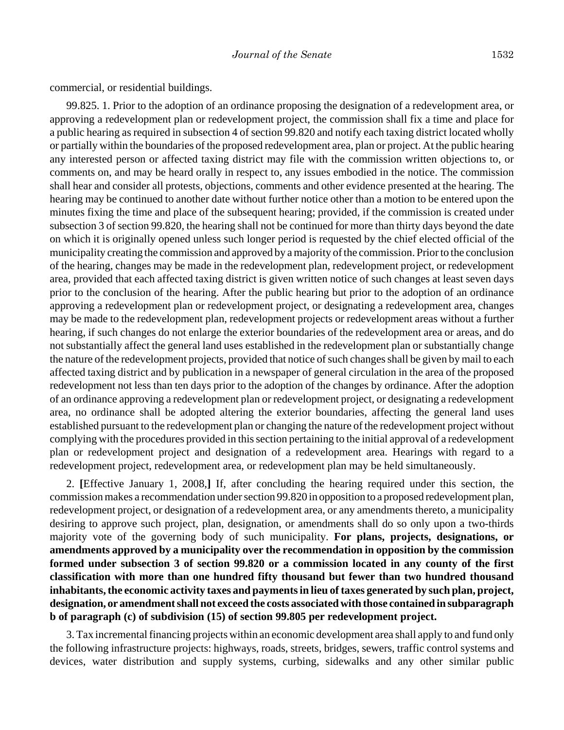commercial, or residential buildings.

99.825. 1. Prior to the adoption of an ordinance proposing the designation of a redevelopment area, or approving a redevelopment plan or redevelopment project, the commission shall fix a time and place for a public hearing as required in subsection 4 of section 99.820 and notify each taxing district located wholly or partially within the boundaries of the proposed redevelopment area, plan or project. At the public hearing any interested person or affected taxing district may file with the commission written objections to, or comments on, and may be heard orally in respect to, any issues embodied in the notice. The commission shall hear and consider all protests, objections, comments and other evidence presented at the hearing. The hearing may be continued to another date without further notice other than a motion to be entered upon the minutes fixing the time and place of the subsequent hearing; provided, if the commission is created under subsection 3 of section 99.820, the hearing shall not be continued for more than thirty days beyond the date on which it is originally opened unless such longer period is requested by the chief elected official of the municipality creating the commission and approved by a majority of the commission. Prior to the conclusion of the hearing, changes may be made in the redevelopment plan, redevelopment project, or redevelopment area, provided that each affected taxing district is given written notice of such changes at least seven days prior to the conclusion of the hearing. After the public hearing but prior to the adoption of an ordinance approving a redevelopment plan or redevelopment project, or designating a redevelopment area, changes may be made to the redevelopment plan, redevelopment projects or redevelopment areas without a further hearing, if such changes do not enlarge the exterior boundaries of the redevelopment area or areas, and do not substantially affect the general land uses established in the redevelopment plan or substantially change the nature of the redevelopment projects, provided that notice of such changes shall be given by mail to each affected taxing district and by publication in a newspaper of general circulation in the area of the proposed redevelopment not less than ten days prior to the adoption of the changes by ordinance. After the adoption of an ordinance approving a redevelopment plan or redevelopment project, or designating a redevelopment area, no ordinance shall be adopted altering the exterior boundaries, affecting the general land uses established pursuant to the redevelopment plan or changing the nature of the redevelopment project without complying with the procedures provided in this section pertaining to the initial approval of a redevelopment plan or redevelopment project and designation of a redevelopment area. Hearings with regard to a redevelopment project, redevelopment area, or redevelopment plan may be held simultaneously.

2. **[**Effective January 1, 2008,**]** If, after concluding the hearing required under this section, the commission makes a recommendation under section 99.820 in opposition to a proposed redevelopment plan, redevelopment project, or designation of a redevelopment area, or any amendments thereto, a municipality desiring to approve such project, plan, designation, or amendments shall do so only upon a two-thirds majority vote of the governing body of such municipality. **For plans, projects, designations, or amendments approved by a municipality over the recommendation in opposition by the commission formed under subsection 3 of section 99.820 or a commission located in any county of the first classification with more than one hundred fifty thousand but fewer than two hundred thousand inhabitants, the economic activity taxes and payments in lieu of taxes generated by such plan, project, designation, or amendment shall not exceed the costs associated with those contained in subparagraph b of paragraph (c) of subdivision (15) of section 99.805 per redevelopment project.**

3. Tax incremental financing projects within an economic development area shall apply to and fund only the following infrastructure projects: highways, roads, streets, bridges, sewers, traffic control systems and devices, water distribution and supply systems, curbing, sidewalks and any other similar public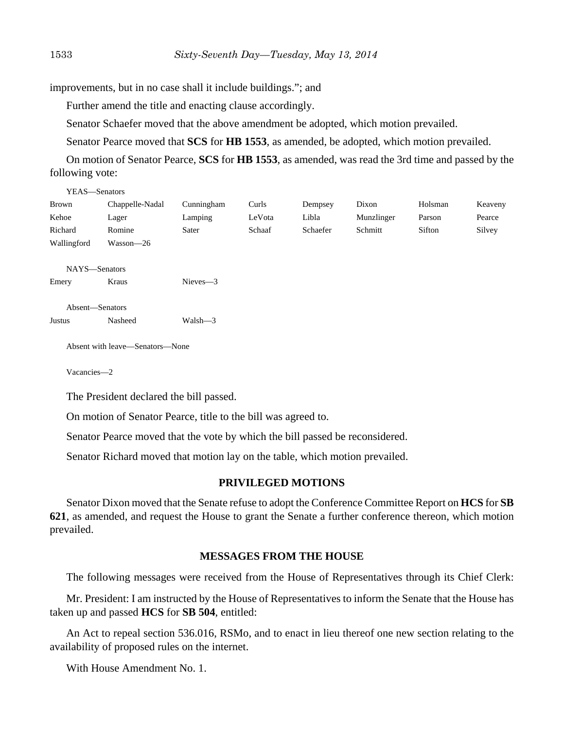improvements, but in no case shall it include buildings."; and

Further amend the title and enacting clause accordingly.

Senator Schaefer moved that the above amendment be adopted, which motion prevailed.

Senator Pearce moved that **SCS** for **HB 1553**, as amended, be adopted, which motion prevailed.

On motion of Senator Pearce, **SCS** for **HB 1553**, as amended, was read the 3rd time and passed by the following vote:

| YEAS—Senators   |                 |             |        |          |            |         |         |
|-----------------|-----------------|-------------|--------|----------|------------|---------|---------|
| <b>Brown</b>    | Chappelle-Nadal | Cunningham  | Curls  | Dempsey  | Dixon      | Holsman | Keaveny |
| Kehoe           | Lager           | Lamping     | LeVota | Libla    | Munzlinger | Parson  | Pearce  |
| Richard         | Romine          | Sater       | Schaaf | Schaefer | Schmitt    | Sifton  | Silvey  |
| Wallingford     | Wasson-26       |             |        |          |            |         |         |
|                 |                 |             |        |          |            |         |         |
| NAYS-Senators   |                 |             |        |          |            |         |         |
| Emery           | Kraus           | $Nieves -3$ |        |          |            |         |         |
|                 |                 |             |        |          |            |         |         |
| Absent-Senators |                 |             |        |          |            |         |         |
| <b>Justus</b>   | Nasheed         | $Walsh - 3$ |        |          |            |         |         |
|                 |                 |             |        |          |            |         |         |
|                 |                 |             |        |          |            |         |         |

Absent with leave—Senators—None

Vacancies—2

The President declared the bill passed.

On motion of Senator Pearce, title to the bill was agreed to.

Senator Pearce moved that the vote by which the bill passed be reconsidered.

Senator Richard moved that motion lay on the table, which motion prevailed.

## **PRIVILEGED MOTIONS**

Senator Dixon moved that the Senate refuse to adopt the Conference Committee Report on **HCS** for **SB 621**, as amended, and request the House to grant the Senate a further conference thereon, which motion prevailed.

## **MESSAGES FROM THE HOUSE**

The following messages were received from the House of Representatives through its Chief Clerk:

Mr. President: I am instructed by the House of Representatives to inform the Senate that the House has taken up and passed **HCS** for **SB 504**, entitled:

An Act to repeal section 536.016, RSMo, and to enact in lieu thereof one new section relating to the availability of proposed rules on the internet.

With House Amendment No. 1.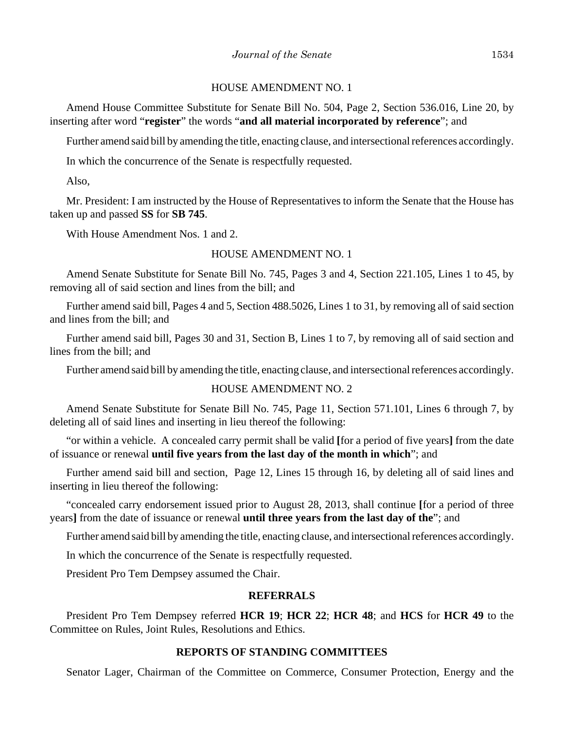#### HOUSE AMENDMENT NO. 1

Amend House Committee Substitute for Senate Bill No. 504, Page 2, Section 536.016, Line 20, by inserting after word "**register**" the words "**and all material incorporated by reference**"; and

Further amend said bill by amending the title, enacting clause, and intersectional references accordingly.

In which the concurrence of the Senate is respectfully requested.

Also,

Mr. President: I am instructed by the House of Representatives to inform the Senate that the House has taken up and passed **SS** for **SB 745**.

With House Amendment Nos. 1 and 2.

#### HOUSE AMENDMENT NO. 1

Amend Senate Substitute for Senate Bill No. 745, Pages 3 and 4, Section 221.105, Lines 1 to 45, by removing all of said section and lines from the bill; and

Further amend said bill, Pages 4 and 5, Section 488.5026, Lines 1 to 31, by removing all of said section and lines from the bill; and

Further amend said bill, Pages 30 and 31, Section B, Lines 1 to 7, by removing all of said section and lines from the bill; and

Further amend said bill by amending the title, enacting clause, and intersectional references accordingly.

## HOUSE AMENDMENT NO. 2

Amend Senate Substitute for Senate Bill No. 745, Page 11, Section 571.101, Lines 6 through 7, by deleting all of said lines and inserting in lieu thereof the following:

"or within a vehicle. A concealed carry permit shall be valid **[**for a period of five years**]** from the date of issuance or renewal **until five years from the last day of the month in which**"; and

Further amend said bill and section, Page 12, Lines 15 through 16, by deleting all of said lines and inserting in lieu thereof the following:

"concealed carry endorsement issued prior to August 28, 2013, shall continue **[**for a period of three years**]** from the date of issuance or renewal **until three years from the last day of the**"; and

Further amend said bill by amending the title, enacting clause, and intersectional references accordingly.

In which the concurrence of the Senate is respectfully requested.

President Pro Tem Dempsey assumed the Chair.

## **REFERRALS**

President Pro Tem Dempsey referred **HCR 19**; **HCR 22**; **HCR 48**; and **HCS** for **HCR 49** to the Committee on Rules, Joint Rules, Resolutions and Ethics.

#### **REPORTS OF STANDING COMMITTEES**

Senator Lager, Chairman of the Committee on Commerce, Consumer Protection, Energy and the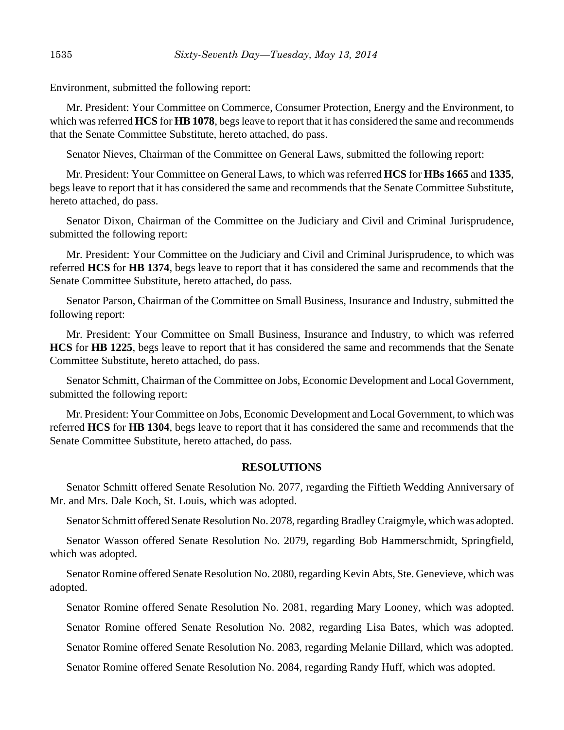Environment, submitted the following report:

Mr. President: Your Committee on Commerce, Consumer Protection, Energy and the Environment, to which was referred **HCS** for **HB 1078**, begs leave to report that it has considered the same and recommends that the Senate Committee Substitute, hereto attached, do pass.

Senator Nieves, Chairman of the Committee on General Laws, submitted the following report:

Mr. President: Your Committee on General Laws, to which was referred **HCS** for **HBs 1665** and **1335**, begs leave to report that it has considered the same and recommends that the Senate Committee Substitute, hereto attached, do pass.

Senator Dixon, Chairman of the Committee on the Judiciary and Civil and Criminal Jurisprudence, submitted the following report:

Mr. President: Your Committee on the Judiciary and Civil and Criminal Jurisprudence, to which was referred **HCS** for **HB 1374**, begs leave to report that it has considered the same and recommends that the Senate Committee Substitute, hereto attached, do pass.

Senator Parson, Chairman of the Committee on Small Business, Insurance and Industry, submitted the following report:

Mr. President: Your Committee on Small Business, Insurance and Industry, to which was referred **HCS** for **HB 1225**, begs leave to report that it has considered the same and recommends that the Senate Committee Substitute, hereto attached, do pass.

Senator Schmitt, Chairman of the Committee on Jobs, Economic Development and Local Government, submitted the following report:

Mr. President: Your Committee on Jobs, Economic Development and Local Government, to which was referred **HCS** for **HB 1304**, begs leave to report that it has considered the same and recommends that the Senate Committee Substitute, hereto attached, do pass.

#### **RESOLUTIONS**

Senator Schmitt offered Senate Resolution No. 2077, regarding the Fiftieth Wedding Anniversary of Mr. and Mrs. Dale Koch, St. Louis, which was adopted.

Senator Schmitt offered Senate Resolution No. 2078, regarding Bradley Craigmyle, which was adopted.

Senator Wasson offered Senate Resolution No. 2079, regarding Bob Hammerschmidt, Springfield, which was adopted.

Senator Romine offered Senate Resolution No. 2080, regarding Kevin Abts, Ste. Genevieve, which was adopted.

Senator Romine offered Senate Resolution No. 2081, regarding Mary Looney, which was adopted.

Senator Romine offered Senate Resolution No. 2082, regarding Lisa Bates, which was adopted.

Senator Romine offered Senate Resolution No. 2083, regarding Melanie Dillard, which was adopted.

Senator Romine offered Senate Resolution No. 2084, regarding Randy Huff, which was adopted.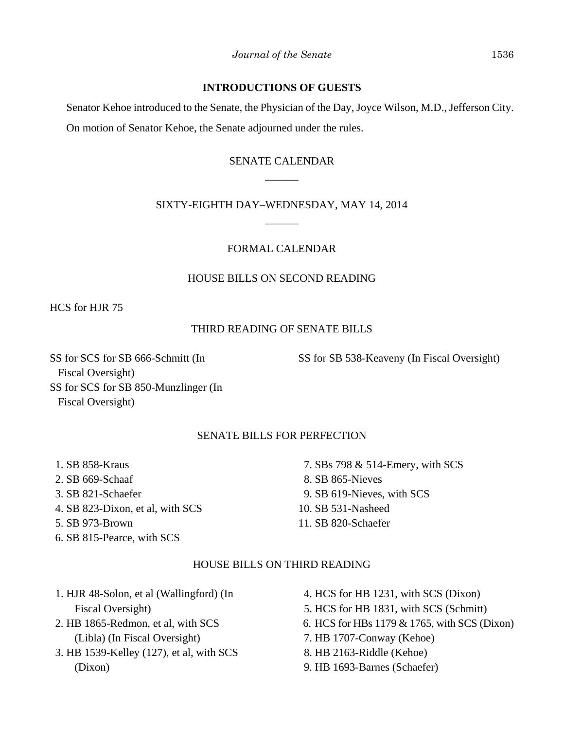## **INTRODUCTIONS OF GUESTS**

Senator Kehoe introduced to the Senate, the Physician of the Day, Joyce Wilson, M.D., Jefferson City. On motion of Senator Kehoe, the Senate adjourned under the rules.

# SENATE CALENDAR  $\overline{\phantom{a}}$

## SIXTY-EIGHTH DAY–WEDNESDAY, MAY 14, 2014 \_\_\_\_\_\_

## FORMAL CALENDAR

## HOUSE BILLS ON SECOND READING

HCS for HJR 75

## THIRD READING OF SENATE BILLS

SS for SCS for SB 666-Schmitt (In Fiscal Oversight) SS for SCS for SB 850-Munzlinger (In Fiscal Oversight)

## SENATE BILLS FOR PERFECTION

- 1. SB 858-Kraus
- 2. SB 669-Schaaf
- 3. SB 821-Schaefer
- 4. SB 823-Dixon, et al, with SCS
- 5. SB 973-Brown
- 6. SB 815-Pearce, with SCS

7. SBs 798 & 514-Emery, with SCS

SS for SB 538-Keaveny (In Fiscal Oversight)

- 8. SB 865-Nieves
- 9. SB 619-Nieves, with SCS
- 10. SB 531-Nasheed
- 11. SB 820-Schaefer

#### HOUSE BILLS ON THIRD READING

- 1. HJR 48-Solon, et al (Wallingford) (In Fiscal Oversight)
- 2. HB 1865-Redmon, et al, with SCS (Libla) (In Fiscal Oversight)
- 3. HB 1539-Kelley (127), et al, with SCS (Dixon)
- 4. HCS for HB 1231, with SCS (Dixon)
- 5. HCS for HB 1831, with SCS (Schmitt)
- 6. HCS for HBs 1179 & 1765, with SCS (Dixon)
- 7. HB 1707-Conway (Kehoe)
- 8. HB 2163-Riddle (Kehoe)
- 9. HB 1693-Barnes (Schaefer)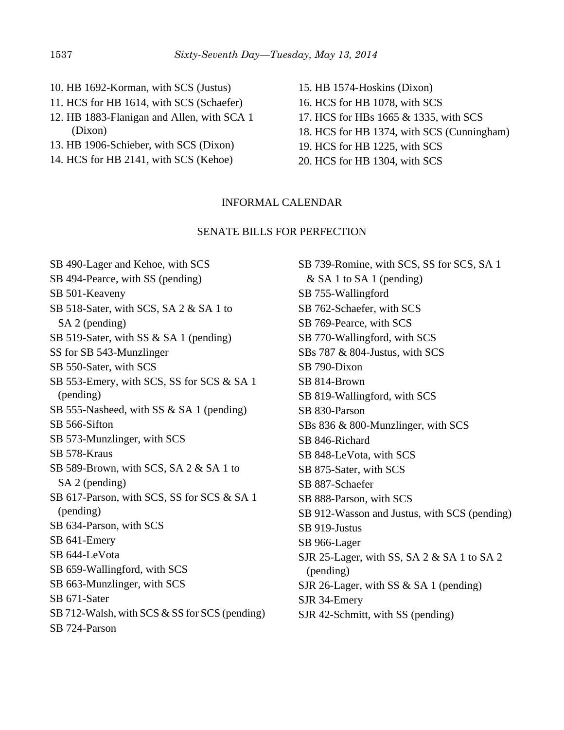- 10. HB 1692-Korman, with SCS (Justus)
- 11. HCS for HB 1614, with SCS (Schaefer)
- 12. HB 1883-Flanigan and Allen, with SCA 1 (Dixon)
- 13. HB 1906-Schieber, with SCS (Dixon)
- 14. HCS for HB 2141, with SCS (Kehoe)
- 15. HB 1574-Hoskins (Dixon) 16. HCS for HB 1078, with SCS
- 17. HCS for HBs 1665 & 1335, with SCS
- 18. HCS for HB 1374, with SCS (Cunningham)
- 19. HCS for HB 1225, with SCS
- 20. HCS for HB 1304, with SCS

## INFORMAL CALENDAR

#### SENATE BILLS FOR PERFECTION

SB 490-Lager and Kehoe, with SCS SB 494-Pearce, with SS (pending) SB 501-Keaveny SB 518-Sater, with SCS, SA 2 & SA 1 to SA 2 (pending) SB 519-Sater, with SS & SA 1 (pending) SS for SB 543-Munzlinger SB 550-Sater, with SCS SB 553-Emery, with SCS, SS for SCS & SA 1 (pending) SB 555-Nasheed, with SS & SA 1 (pending) SB 566-Sifton SB 573-Munzlinger, with SCS SB 578-Kraus SB 589-Brown, with SCS, SA 2 & SA 1 to SA 2 (pending) SB 617-Parson, with SCS, SS for SCS & SA 1 (pending) SB 634-Parson, with SCS SB 641-Emery SB 644-LeVota SB 659-Wallingford, with SCS SB 663-Munzlinger, with SCS SB 671-Sater SB 712-Walsh, with SCS & SS for SCS (pending) SB 724-Parson

SB 739-Romine, with SCS, SS for SCS, SA 1  $&$  SA 1 to SA 1 (pending) SB 755-Wallingford SB 762-Schaefer, with SCS SB 769-Pearce, with SCS SB 770-Wallingford, with SCS SBs 787 & 804-Justus, with SCS SB 790-Dixon SB 814-Brown SB 819-Wallingford, with SCS SB 830-Parson SBs 836 & 800-Munzlinger, with SCS SB 846-Richard SB 848-LeVota, with SCS SB 875-Sater, with SCS SB 887-Schaefer SB 888-Parson, with SCS SB 912-Wasson and Justus, with SCS (pending) SB 919-Justus SB 966-Lager SJR 25-Lager, with SS, SA 2 & SA 1 to SA 2 (pending) SJR 26-Lager, with SS & SA 1 (pending) SJR 34-Emery SJR 42-Schmitt, with SS (pending)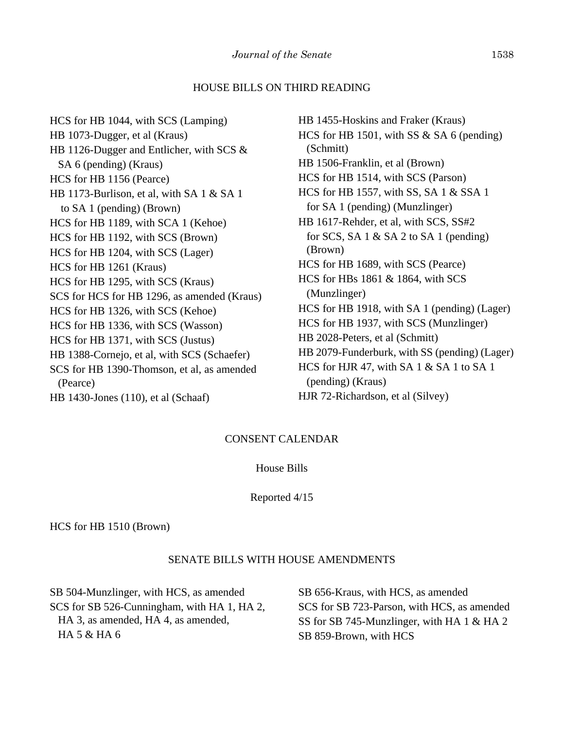#### HOUSE BILLS ON THIRD READING

HCS for HB 1044, with SCS (Lamping) HB 1073-Dugger, et al (Kraus) HB 1126-Dugger and Entlicher, with SCS & SA 6 (pending) (Kraus) HCS for HB 1156 (Pearce) HB 1173-Burlison, et al, with SA 1 & SA 1 to SA 1 (pending) (Brown) HCS for HB 1189, with SCA 1 (Kehoe) HCS for HB 1192, with SCS (Brown) HCS for HB 1204, with SCS (Lager) HCS for HB 1261 (Kraus) HCS for HB 1295, with SCS (Kraus) SCS for HCS for HB 1296, as amended (Kraus) HCS for HB 1326, with SCS (Kehoe) HCS for HB 1336, with SCS (Wasson) HCS for HB 1371, with SCS (Justus) HB 1388-Cornejo, et al, with SCS (Schaefer) SCS for HB 1390-Thomson, et al, as amended (Pearce) HB 1430-Jones (110), et al (Schaaf)

HB 1455-Hoskins and Fraker (Kraus) HCS for HB 1501, with SS & SA 6 (pending) (Schmitt) HB 1506-Franklin, et al (Brown) HCS for HB 1514, with SCS (Parson) HCS for HB 1557, with SS, SA 1 & SSA 1 for SA 1 (pending) (Munzlinger) HB 1617-Rehder, et al, with SCS, SS#2 for SCS, SA  $1 \&$  SA  $2$  to SA  $1$  (pending) (Brown) HCS for HB 1689, with SCS (Pearce) HCS for HBs 1861 & 1864, with SCS (Munzlinger) HCS for HB 1918, with SA 1 (pending) (Lager) HCS for HB 1937, with SCS (Munzlinger) HB 2028-Peters, et al (Schmitt) HB 2079-Funderburk, with SS (pending) (Lager) HCS for HJR 47, with SA  $1 \& S$ A  $1$  to SA  $1$  (pending) (Kraus) HJR 72-Richardson, et al (Silvey)

## CONSENT CALENDAR

House Bills

#### Reported 4/15

HCS for HB 1510 (Brown)

#### SENATE BILLS WITH HOUSE AMENDMENTS

SB 504-Munzlinger, with HCS, as amended SCS for SB 526-Cunningham, with HA 1, HA 2, HA 3, as amended, HA 4, as amended, HA 5 & HA 6

SB 656-Kraus, with HCS, as amended SCS for SB 723-Parson, with HCS, as amended SS for SB 745-Munzlinger, with HA 1 & HA 2 SB 859-Brown, with HCS